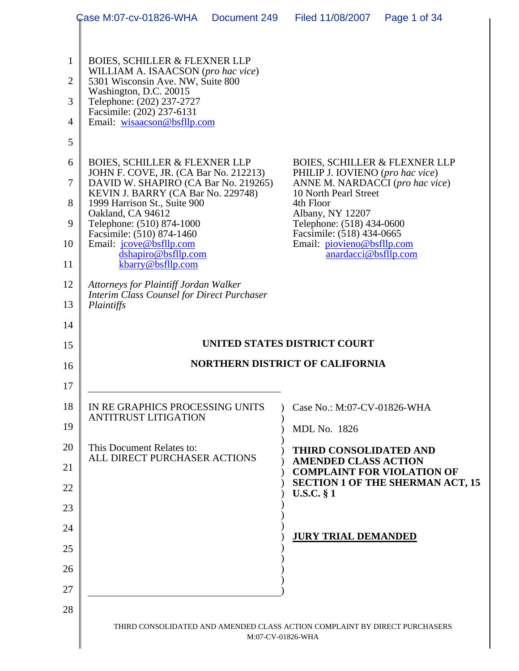|                     | Case M:07-cv-01826-WHA<br>Document 249                                         | Filed 11/08/2007<br>Page 1 of 34                                             |
|---------------------|--------------------------------------------------------------------------------|------------------------------------------------------------------------------|
|                     |                                                                                |                                                                              |
| $\mathbf 1$         | <b>BOIES, SCHILLER &amp; FLEXNER LLP</b><br>WILLIAM A. ISAACSON (pro hac vice) |                                                                              |
| $\overline{2}$      | 5301 Wisconsin Ave. NW, Suite 800<br>Washington, D.C. 20015                    |                                                                              |
| 3                   | Telephone: (202) 237-2727<br>Facsimile: (202) 237-6131                         |                                                                              |
| $\overline{4}$<br>5 | Email: wisaacson@bsfllp.com                                                    |                                                                              |
| 6                   | <b>BOIES, SCHILLER &amp; FLEXNER LLP</b>                                       | <b>BOIES, SCHILLER &amp; FLEXNER LLP</b>                                     |
| $\overline{7}$      | JOHN F. COVE, JR. (CA Bar No. 212213)                                          | PHILIP J. IOVIENO (pro hac vice)                                             |
|                     | DAVID W. SHAPIRO (CA Bar No. 219265)<br>KEVIN J. BARRY (CA Bar No. 229748)     | ANNE M. NARDACCI (pro hac vice)<br>10 North Pearl Street                     |
| 8<br>9              | 1999 Harrison St., Suite 900<br>Oakland, CA 94612<br>Telephone: (510) 874-1000 | 4th Floor<br>Albany, NY 12207<br>Telephone: (518) 434-0600                   |
| 10                  | Facsimile: (510) 874-1460<br>Email: jcove@bsfllp.com                           | Facsimile: (518) 434-0665<br>Email: piovieno@bsfllp.com                      |
| 11                  | dshapiro@bsfllp.com<br>kbarry@bsfllp.com                                       | anardacci@bsfllp.com                                                         |
| 12                  | Attorneys for Plaintiff Jordan Walker                                          |                                                                              |
| 13                  | <b>Interim Class Counsel for Direct Purchaser</b><br>Plaintiffs                |                                                                              |
| 14                  |                                                                                |                                                                              |
|                     |                                                                                |                                                                              |
| 15                  |                                                                                | UNITED STATES DISTRICT COURT                                                 |
| 16                  |                                                                                | <b>NORTHERN DISTRICT OF CALIFORNIA</b>                                       |
| 17                  |                                                                                |                                                                              |
| 18                  | IN RE GRAPHICS PROCESSING UNITS                                                | Case No.: M:07-CV-01826-WHA                                                  |
| 19                  | <b>ANTITRUST LITIGATION</b>                                                    | <b>MDL No. 1826</b>                                                          |
| 20                  | This Document Relates to:                                                      | <b>THIRD CONSOLIDATED AND</b>                                                |
| 21                  | ALL DIRECT PURCHASER ACTIONS                                                   | <b>AMENDED CLASS ACTION</b>                                                  |
| 22                  |                                                                                | <b>COMPLAINT FOR VIOLATION OF</b><br><b>SECTION 1 OF THE SHERMAN ACT, 15</b> |
| 23                  |                                                                                | <b>U.S.C.</b> § 1                                                            |
| 24                  |                                                                                |                                                                              |
| 25                  |                                                                                | <b>JURY TRIAL DEMANDED</b>                                                   |
| 26                  |                                                                                |                                                                              |
| 27                  |                                                                                |                                                                              |
| 28                  |                                                                                |                                                                              |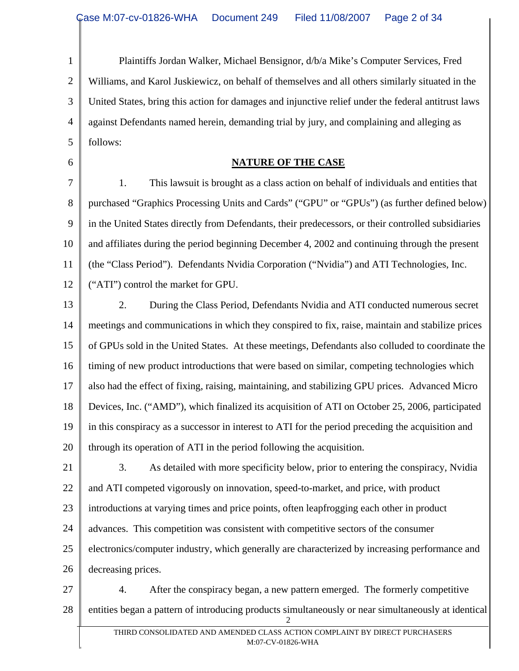1 2 3 4 5 Plaintiffs Jordan Walker, Michael Bensignor, d/b/a Mike's Computer Services, Fred Williams, and Karol Juskiewicz, on behalf of themselves and all others similarly situated in the United States, bring this action for damages and injunctive relief under the federal antitrust laws against Defendants named herein, demanding trial by jury, and complaining and alleging as follows:

#### **NATURE OF THE CASE**

6

7 8 9 10 11 12 1. This lawsuit is brought as a class action on behalf of individuals and entities that purchased "Graphics Processing Units and Cards" ("GPU" or "GPUs") (as further defined below) in the United States directly from Defendants, their predecessors, or their controlled subsidiaries and affiliates during the period beginning December 4, 2002 and continuing through the present (the "Class Period"). Defendants Nvidia Corporation ("Nvidia") and ATI Technologies, Inc. ("ATI") control the market for GPU.

13 14 15 16 17 18 19 20 2. During the Class Period, Defendants Nvidia and ATI conducted numerous secret meetings and communications in which they conspired to fix, raise, maintain and stabilize prices of GPUs sold in the United States. At these meetings, Defendants also colluded to coordinate the timing of new product introductions that were based on similar, competing technologies which also had the effect of fixing, raising, maintaining, and stabilizing GPU prices. Advanced Micro Devices, Inc. ("AMD"), which finalized its acquisition of ATI on October 25, 2006, participated in this conspiracy as a successor in interest to ATI for the period preceding the acquisition and through its operation of ATI in the period following the acquisition.

21 22 23 24 25 26 3. As detailed with more specificity below, prior to entering the conspiracy, Nvidia and ATI competed vigorously on innovation, speed-to-market, and price, with product introductions at varying times and price points, often leapfrogging each other in product advances. This competition was consistent with competitive sectors of the consumer electronics/computer industry, which generally are characterized by increasing performance and decreasing prices.

27 28 2 4. After the conspiracy began, a new pattern emerged. The formerly competitive entities began a pattern of introducing products simultaneously or near simultaneously at identical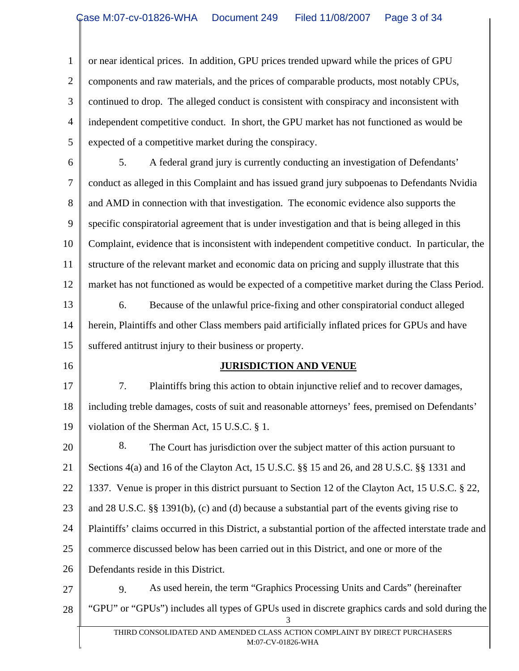1 2 3 4 5 or near identical prices. In addition, GPU prices trended upward while the prices of GPU components and raw materials, and the prices of comparable products, most notably CPUs, continued to drop. The alleged conduct is consistent with conspiracy and inconsistent with independent competitive conduct. In short, the GPU market has not functioned as would be expected of a competitive market during the conspiracy.

6 7 8 9 10 11 12 13 14 5. A federal grand jury is currently conducting an investigation of Defendants' conduct as alleged in this Complaint and has issued grand jury subpoenas to Defendants Nvidia and AMD in connection with that investigation. The economic evidence also supports the specific conspiratorial agreement that is under investigation and that is being alleged in this Complaint, evidence that is inconsistent with independent competitive conduct. In particular, the structure of the relevant market and economic data on pricing and supply illustrate that this market has not functioned as would be expected of a competitive market during the Class Period. 6. Because of the unlawful price-fixing and other conspiratorial conduct alleged herein, Plaintiffs and other Class members paid artificially inflated prices for GPUs and have

15 suffered antitrust injury to their business or property.

16

#### **JURISDICTION AND VENUE**

17 18 19 7. Plaintiffs bring this action to obtain injunctive relief and to recover damages, including treble damages, costs of suit and reasonable attorneys' fees, premised on Defendants' violation of the Sherman Act, 15 U.S.C. § 1.

20 21 22 23 24 25 26 27 8. The Court has jurisdiction over the subject matter of this action pursuant to Sections 4(a) and 16 of the Clayton Act, 15 U.S.C. §§ 15 and 26, and 28 U.S.C. §§ 1331 and 1337. Venue is proper in this district pursuant to Section 12 of the Clayton Act, 15 U.S.C. § 22, and 28 U.S.C. §§ 1391(b), (c) and (d) because a substantial part of the events giving rise to Plaintiffs' claims occurred in this District, a substantial portion of the affected interstate trade and commerce discussed below has been carried out in this District, and one or more of the Defendants reside in this District. 9. As used herein, the term "Graphics Processing Units and Cards" (hereinafter

28 3 "GPU" or "GPUs") includes all types of GPUs used in discrete graphics cards and sold during the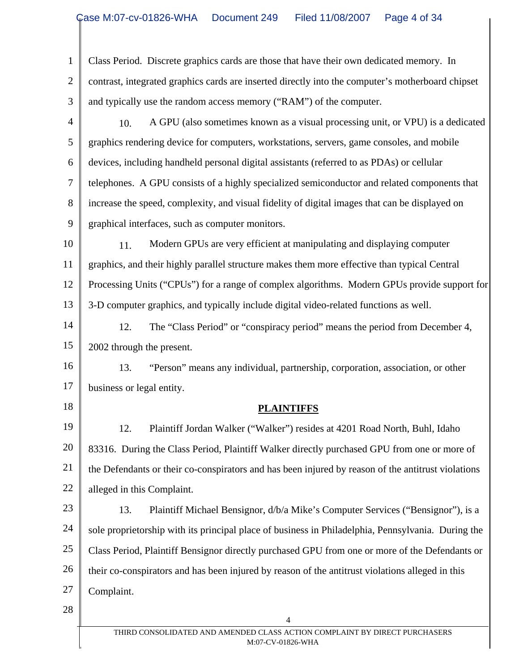| $\mathbf{1}$   | Class Period. Discrete graphics cards are those that have their own dedicated memory. In           |
|----------------|----------------------------------------------------------------------------------------------------|
| $\overline{2}$ | contrast, integrated graphics cards are inserted directly into the computer's motherboard chipset  |
| 3              | and typically use the random access memory ("RAM") of the computer.                                |
| $\overline{4}$ | A GPU (also sometimes known as a visual processing unit, or VPU) is a dedicated<br>10.             |
| 5              | graphics rendering device for computers, workstations, servers, game consoles, and mobile          |
| 6              | devices, including handheld personal digital assistants (referred to as PDAs) or cellular          |
| $\tau$         | telephones. A GPU consists of a highly specialized semiconductor and related components that       |
| 8              | increase the speed, complexity, and visual fidelity of digital images that can be displayed on     |
| 9              | graphical interfaces, such as computer monitors.                                                   |
| 10             | Modern GPUs are very efficient at manipulating and displaying computer<br>11.                      |
| 11             | graphics, and their highly parallel structure makes them more effective than typical Central       |
| 12             | Processing Units ("CPUs") for a range of complex algorithms. Modern GPUs provide support for       |
| 13             | 3-D computer graphics, and typically include digital video-related functions as well.              |
| 14             | 12.<br>The "Class Period" or "conspiracy period" means the period from December 4,                 |
| 15             | 2002 through the present.                                                                          |
| 16             | 13.<br>"Person" means any individual, partnership, corporation, association, or other              |
| 17             | business or legal entity.                                                                          |
| 18             | <b>PLAINTIFFS</b>                                                                                  |
| 19             | 12.<br>Plaintiff Jordan Walker ("Walker") resides at 4201 Road North, Buhl, Idaho                  |
| 20             | 83316. During the Class Period, Plaintiff Walker directly purchased GPU from one or more of        |
| 21             | the Defendants or their co-conspirators and has been injured by reason of the antitrust violations |
| 22             | alleged in this Complaint.                                                                         |
| 23             | 13.<br>Plaintiff Michael Bensignor, d/b/a Mike's Computer Services ("Bensignor"), is a             |
| 24             | sole proprietorship with its principal place of business in Philadelphia, Pennsylvania. During the |
| 25             | Class Period, Plaintiff Bensignor directly purchased GPU from one or more of the Defendants or     |
| 26             | their co-conspirators and has been injured by reason of the antitrust violations alleged in this   |
| 27             | Complaint.                                                                                         |
| 28             | 4                                                                                                  |
|                | THIRD CONSOLIDATED AND AMENDED CLASS ACTION COMPLAINT BY DIRECT PURCHASERS<br>M:07-CV-01826-WHA    |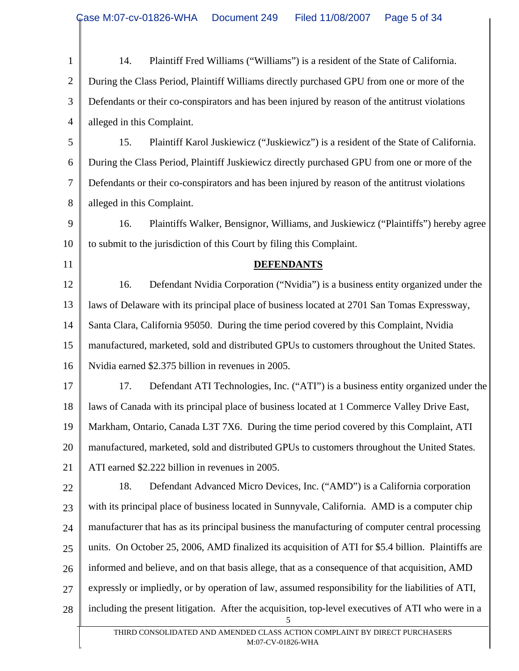| $\mathbf{1}$   | 14.<br>Plaintiff Fred Williams ("Williams") is a resident of the State of California.                   |  |
|----------------|---------------------------------------------------------------------------------------------------------|--|
| $\overline{2}$ | During the Class Period, Plaintiff Williams directly purchased GPU from one or more of the              |  |
| 3              | Defendants or their co-conspirators and has been injured by reason of the antitrust violations          |  |
| $\overline{4}$ | alleged in this Complaint.                                                                              |  |
| 5              | 15.<br>Plaintiff Karol Juskiewicz ("Juskiewicz") is a resident of the State of California.              |  |
| 6              | During the Class Period, Plaintiff Juskiewicz directly purchased GPU from one or more of the            |  |
| $\overline{7}$ | Defendants or their co-conspirators and has been injured by reason of the antitrust violations          |  |
| 8              | alleged in this Complaint.                                                                              |  |
| 9              | 16.<br>Plaintiffs Walker, Bensignor, Williams, and Juskiewicz ("Plaintiffs") hereby agree               |  |
| 10             | to submit to the jurisdiction of this Court by filing this Complaint.                                   |  |
| 11             | <b>DEFENDANTS</b>                                                                                       |  |
| 12             | 16.<br>Defendant Nvidia Corporation ("Nvidia") is a business entity organized under the                 |  |
| 13             | laws of Delaware with its principal place of business located at 2701 San Tomas Expressway,             |  |
| 14             | Santa Clara, California 95050. During the time period covered by this Complaint, Nvidia                 |  |
| 15             | manufactured, marketed, sold and distributed GPUs to customers throughout the United States.            |  |
| 16             | Nvidia earned \$2.375 billion in revenues in 2005.                                                      |  |
| 17             | 17.<br>Defendant ATI Technologies, Inc. ("ATI") is a business entity organized under the                |  |
| 18             | laws of Canada with its principal place of business located at 1 Commerce Valley Drive East,            |  |
| 19             | Markham, Ontario, Canada L3T 7X6. During the time period covered by this Complaint, ATI                 |  |
| 20             | manufactured, marketed, sold and distributed GPUs to customers throughout the United States.            |  |
| 21             | ATI earned \$2.222 billion in revenues in 2005.                                                         |  |
| 22             | 18.<br>Defendant Advanced Micro Devices, Inc. ("AMD") is a California corporation                       |  |
| 23             | with its principal place of business located in Sunnyvale, California. AMD is a computer chip           |  |
| 24             | manufacturer that has as its principal business the manufacturing of computer central processing        |  |
| 25             | units. On October 25, 2006, AMD finalized its acquisition of ATI for \$5.4 billion. Plaintiffs are      |  |
| 26             | informed and believe, and on that basis allege, that as a consequence of that acquisition, AMD          |  |
| 27             | expressly or impliedly, or by operation of law, assumed responsibility for the liabilities of ATI,      |  |
| 28             | including the present litigation. After the acquisition, top-level executives of ATI who were in a<br>5 |  |
|                | THIRD CONSOLIDATED AND AMENDED CLASS ACTION COMPLAINT BY DIRECT PURCHASERS<br>M:07-CV-01826-WHA         |  |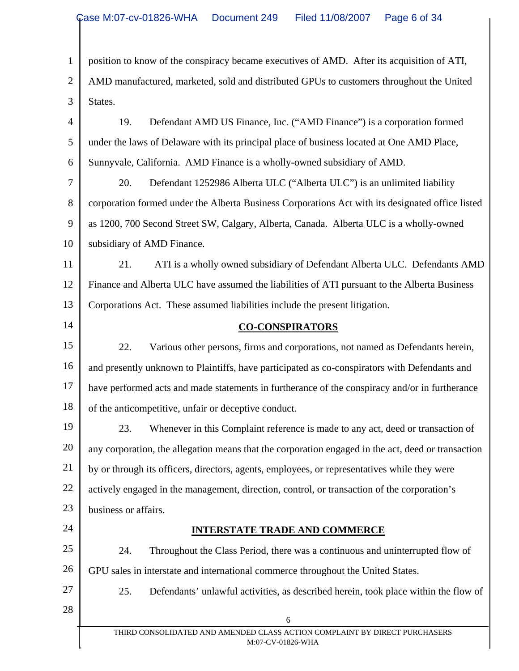| $\mathbf{1}$   | position to know of the conspiracy became executives of AMD. After its acquisition of ATI,         |
|----------------|----------------------------------------------------------------------------------------------------|
| $\overline{2}$ | AMD manufactured, marketed, sold and distributed GPUs to customers throughout the United           |
| 3              | States.                                                                                            |
| 4              | Defendant AMD US Finance, Inc. ("AMD Finance") is a corporation formed<br>19.                      |
| 5              | under the laws of Delaware with its principal place of business located at One AMD Place,          |
| 6              | Sunnyvale, California. AMD Finance is a wholly-owned subsidiary of AMD.                            |
| 7              | Defendant 1252986 Alberta ULC ("Alberta ULC") is an unlimited liability<br>20.                     |
| 8              | corporation formed under the Alberta Business Corporations Act with its designated office listed   |
| 9              | as 1200, 700 Second Street SW, Calgary, Alberta, Canada. Alberta ULC is a wholly-owned             |
| 10             | subsidiary of AMD Finance.                                                                         |
| 11             | ATI is a wholly owned subsidiary of Defendant Alberta ULC. Defendants AMD<br>21.                   |
| 12             | Finance and Alberta ULC have assumed the liabilities of ATI pursuant to the Alberta Business       |
| 13             | Corporations Act. These assumed liabilities include the present litigation.                        |
| 14             | <b>CO-CONSPIRATORS</b>                                                                             |
| 15             | 22.<br>Various other persons, firms and corporations, not named as Defendants herein,              |
| 16             | and presently unknown to Plaintiffs, have participated as co-conspirators with Defendants and      |
| 17             | have performed acts and made statements in furtherance of the conspiracy and/or in furtherance     |
| 18             | of the anticompetitive, unfair or deceptive conduct.                                               |
| 19             | 23. Whenever in this Complaint reference is made to any act, deed or transaction of                |
| 20             | any corporation, the allegation means that the corporation engaged in the act, deed or transaction |
| 21             | by or through its officers, directors, agents, employees, or representatives while they were       |
| 22             | actively engaged in the management, direction, control, or transaction of the corporation's        |
| 23             | business or affairs.                                                                               |
| 24             | <b>INTERSTATE TRADE AND COMMERCE</b>                                                               |
| 25             | 24.<br>Throughout the Class Period, there was a continuous and uninterrupted flow of               |
| 26             | GPU sales in interstate and international commerce throughout the United States.                   |
| 27             | 25.<br>Defendants' unlawful activities, as described herein, took place within the flow of         |
| 28             | 6                                                                                                  |
|                | THIRD CONSOLIDATED AND AMENDED CLASS ACTION COMPLAINT BY DIRECT PURCHASERS<br>M:07-CV-01826-WHA    |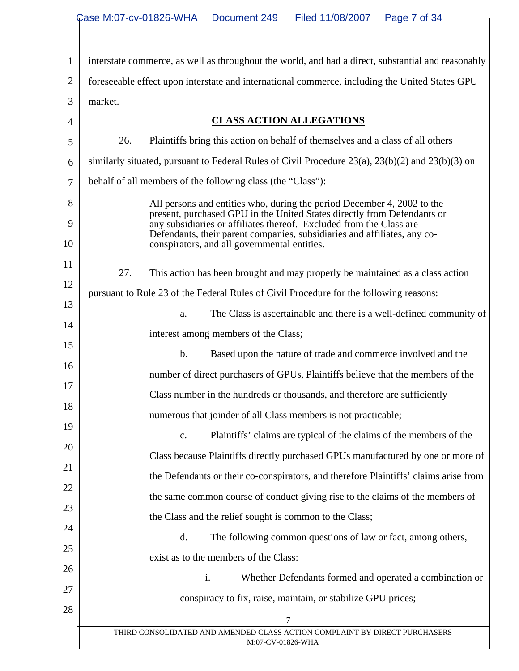1 2 3 4 5 6 7 8 9 10 11 12 13 14 15 16 17 18 19 20 21 22 23 24 25 26 27 28 THIRD CONSOLIDATED AND AMENDED CLASS ACTION COMPLAINT BY DIRECT PURCHASERS M:07-CV-01826-WHA 7 interstate commerce, as well as throughout the world, and had a direct, substantial and reasonably foreseeable effect upon interstate and international commerce, including the United States GPU market. **CLASS ACTION ALLEGATIONS** 26. Plaintiffs bring this action on behalf of themselves and a class of all others similarly situated, pursuant to Federal Rules of Civil Procedure 23(a), 23(b)(2) and 23(b)(3) on behalf of all members of the following class (the "Class"): All persons and entities who, during the period December 4, 2002 to the present, purchased GPU in the United States directly from Defendants or any subsidiaries or affiliates thereof. Excluded from the Class are Defendants, their parent companies, subsidiaries and affiliates, any coconspirators, and all governmental entities. 27. This action has been brought and may properly be maintained as a class action pursuant to Rule 23 of the Federal Rules of Civil Procedure for the following reasons: a. The Class is ascertainable and there is a well-defined community of interest among members of the Class; b. Based upon the nature of trade and commerce involved and the number of direct purchasers of GPUs, Plaintiffs believe that the members of the Class number in the hundreds or thousands, and therefore are sufficiently numerous that joinder of all Class members is not practicable; c. Plaintiffs' claims are typical of the claims of the members of the Class because Plaintiffs directly purchased GPUs manufactured by one or more of the Defendants or their co-conspirators, and therefore Plaintiffs' claims arise from the same common course of conduct giving rise to the claims of the members of the Class and the relief sought is common to the Class; d. The following common questions of law or fact, among others, exist as to the members of the Class: i. Whether Defendants formed and operated a combination or conspiracy to fix, raise, maintain, or stabilize GPU prices;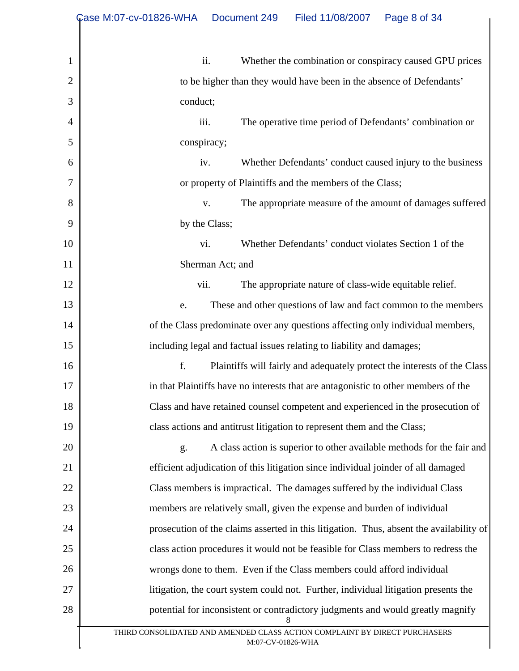|                | Case M:07-cv-01826-WHA<br>Filed 11/08/2007<br>Page 8 of 34<br>Document 249                      |
|----------------|-------------------------------------------------------------------------------------------------|
|                |                                                                                                 |
| 1              | ii.<br>Whether the combination or conspiracy caused GPU prices                                  |
| $\overline{2}$ | to be higher than they would have been in the absence of Defendants'                            |
| 3              | conduct;                                                                                        |
| 4              | The operative time period of Defendants' combination or<br>iii.                                 |
| 5              | conspiracy;                                                                                     |
| 6              | Whether Defendants' conduct caused injury to the business<br>iv.                                |
| $\tau$         | or property of Plaintiffs and the members of the Class;                                         |
| 8              | The appropriate measure of the amount of damages suffered<br>V.                                 |
| 9              | by the Class;                                                                                   |
| 10             | Whether Defendants' conduct violates Section 1 of the<br>vi.                                    |
| 11             | Sherman Act; and                                                                                |
| 12             | The appropriate nature of class-wide equitable relief.<br>vii.                                  |
| 13             | These and other questions of law and fact common to the members<br>e.                           |
| 14             | of the Class predominate over any questions affecting only individual members,                  |
| 15             | including legal and factual issues relating to liability and damages;                           |
| 16             | f.<br>Plaintiffs will fairly and adequately protect the interests of the Class                  |
| 17             | in that Plaintiffs have no interests that are antagonistic to other members of the              |
| 18             | Class and have retained counsel competent and experienced in the prosecution of                 |
| 19             | class actions and antitrust litigation to represent them and the Class;                         |
| 20             | A class action is superior to other available methods for the fair and<br>g.                    |
| 21             | efficient adjudication of this litigation since individual joinder of all damaged               |
| 22             | Class members is impractical. The damages suffered by the individual Class                      |
| 23             | members are relatively small, given the expense and burden of individual                        |
| 24             | prosecution of the claims asserted in this litigation. Thus, absent the availability of         |
| 25             | class action procedures it would not be feasible for Class members to redress the               |
| 26             | wrongs done to them. Even if the Class members could afford individual                          |
| 27             | litigation, the court system could not. Further, individual litigation presents the             |
| 28             | potential for inconsistent or contradictory judgments and would greatly magnify<br>8            |
|                | THIRD CONSOLIDATED AND AMENDED CLASS ACTION COMPLAINT BY DIRECT PURCHASERS<br>M:07-CV-01826-WHA |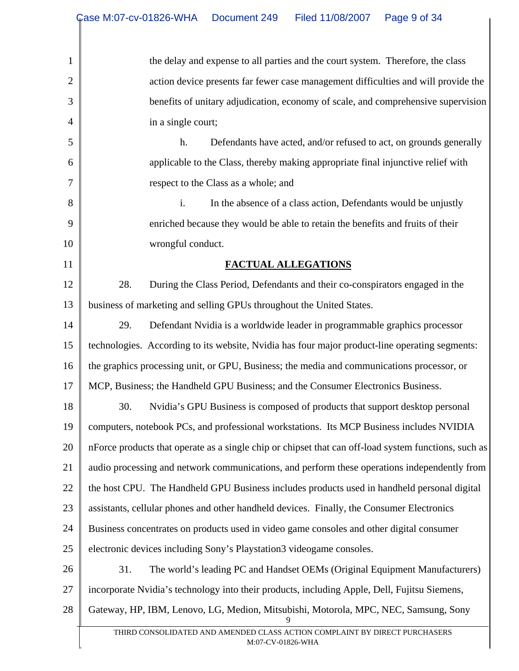| $\mathbf{1}$   | the delay and expense to all parties and the court system. Therefore, the class                      |
|----------------|------------------------------------------------------------------------------------------------------|
| $\overline{2}$ | action device presents far fewer case management difficulties and will provide the                   |
| 3              | benefits of unitary adjudication, economy of scale, and comprehensive supervision                    |
| $\overline{4}$ | in a single court;                                                                                   |
| 5              | Defendants have acted, and/or refused to act, on grounds generally<br>h.                             |
| 6              | applicable to the Class, thereby making appropriate final injunctive relief with                     |
| 7              | respect to the Class as a whole; and                                                                 |
| 8              | i.<br>In the absence of a class action, Defendants would be unjustly                                 |
| 9              | enriched because they would be able to retain the benefits and fruits of their                       |
| 10             | wrongful conduct.                                                                                    |
| 11             | FACTUAL ALLEGATIONS                                                                                  |
| 12             | 28.<br>During the Class Period, Defendants and their co-conspirators engaged in the                  |
| 13             | business of marketing and selling GPUs throughout the United States.                                 |
| 14             | 29.<br>Defendant Nvidia is a worldwide leader in programmable graphics processor                     |
| 15             | technologies. According to its website, Nvidia has four major product-line operating segments:       |
| 16             | the graphics processing unit, or GPU, Business; the media and communications processor, or           |
| 17             | MCP, Business; the Handheld GPU Business; and the Consumer Electronics Business.                     |
| 18             | 30.<br>Nvidia's GPU Business is composed of products that support desktop personal                   |
| 19             | computers, notebook PCs, and professional workstations. Its MCP Business includes NVIDIA             |
| 20             | nForce products that operate as a single chip or chipset that can off-load system functions, such as |
| 21             | audio processing and network communications, and perform these operations independently from         |
| 22             | the host CPU. The Handheld GPU Business includes products used in handheld personal digital          |
| 23             | assistants, cellular phones and other handheld devices. Finally, the Consumer Electronics            |
| 24             | Business concentrates on products used in video game consoles and other digital consumer             |
| 25             | electronic devices including Sony's Playstation3 videogame consoles.                                 |
| 26             | 31.<br>The world's leading PC and Handset OEMs (Original Equipment Manufacturers)                    |
| 27             | incorporate Nvidia's technology into their products, including Apple, Dell, Fujitsu Siemens,         |
| 28             | Gateway, HP, IBM, Lenovo, LG, Medion, Mitsubishi, Motorola, MPC, NEC, Samsung, Sony                  |
|                | THIRD CONSOLIDATED AND AMENDED CLASS ACTION COMPLAINT BY DIRECT PURCHASERS<br>M:07-CV-01826-WHA      |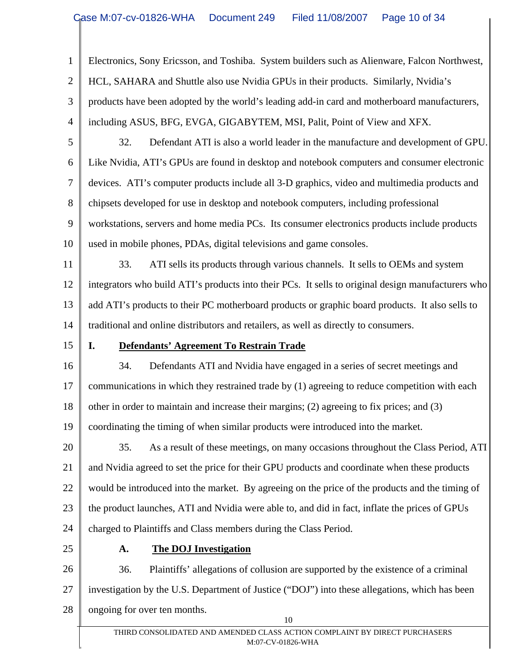1 2 3 4 5 6 7 8 9 10 11 12 13 14 15 16 17 18 19 20 21 22 23 24 25 26 27 28 10 Electronics, Sony Ericsson, and Toshiba. System builders such as Alienware, Falcon Northwest, HCL, SAHARA and Shuttle also use Nvidia GPUs in their products. Similarly, Nvidia's products have been adopted by the world's leading add-in card and motherboard manufacturers, including ASUS, BFG, EVGA, GIGABYTEM, MSI, Palit, Point of View and XFX. 32. Defendant ATI is also a world leader in the manufacture and development of GPU. Like Nvidia, ATI's GPUs are found in desktop and notebook computers and consumer electronic devices. ATI's computer products include all 3-D graphics, video and multimedia products and chipsets developed for use in desktop and notebook computers, including professional workstations, servers and home media PCs. Its consumer electronics products include products used in mobile phones, PDAs, digital televisions and game consoles. 33. ATI sells its products through various channels. It sells to OEMs and system integrators who build ATI's products into their PCs. It sells to original design manufacturers who add ATI's products to their PC motherboard products or graphic board products. It also sells to traditional and online distributors and retailers, as well as directly to consumers. **I. Defendants' Agreement To Restrain Trade** 34. Defendants ATI and Nvidia have engaged in a series of secret meetings and communications in which they restrained trade by (1) agreeing to reduce competition with each other in order to maintain and increase their margins; (2) agreeing to fix prices; and (3) coordinating the timing of when similar products were introduced into the market. 35. As a result of these meetings, on many occasions throughout the Class Period, ATI and Nvidia agreed to set the price for their GPU products and coordinate when these products would be introduced into the market. By agreeing on the price of the products and the timing of the product launches, ATI and Nvidia were able to, and did in fact, inflate the prices of GPUs charged to Plaintiffs and Class members during the Class Period. **A. The DOJ Investigation**  36. Plaintiffs' allegations of collusion are supported by the existence of a criminal investigation by the U.S. Department of Justice ("DOJ") into these allegations, which has been ongoing for over ten months.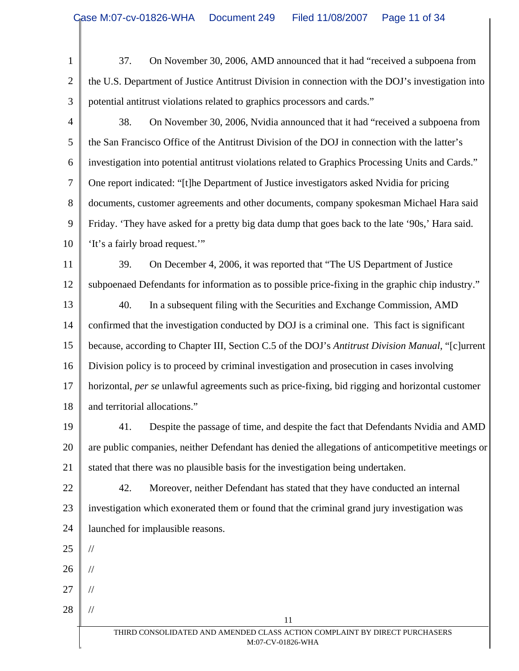1 2 3 4 5 6 7 8 9 10 11 12 13 14 15 16 17 18 19 20 21 22 23 24 25 26 27 28 THIRD CONSOLIDATED AND AMENDED CLASS ACTION COMPLAINT BY DIRECT PURCHASERS M:07-CV-01826-WHA 11 37. On November 30, 2006, AMD announced that it had "received a subpoena from the U.S. Department of Justice Antitrust Division in connection with the DOJ's investigation into potential antitrust violations related to graphics processors and cards." 38. On November 30, 2006, Nvidia announced that it had "received a subpoena from the San Francisco Office of the Antitrust Division of the DOJ in connection with the latter's investigation into potential antitrust violations related to Graphics Processing Units and Cards." One report indicated: "[t]he Department of Justice investigators asked Nvidia for pricing documents, customer agreements and other documents, company spokesman Michael Hara said Friday. 'They have asked for a pretty big data dump that goes back to the late '90s,' Hara said. 'It's a fairly broad request.'" 39. On December 4, 2006, it was reported that "The US Department of Justice subpoenaed Defendants for information as to possible price-fixing in the graphic chip industry." 40. In a subsequent filing with the Securities and Exchange Commission, AMD confirmed that the investigation conducted by DOJ is a criminal one. This fact is significant because, according to Chapter III, Section C.5 of the DOJ's *Antitrust Division Manual*, "[c]urrent Division policy is to proceed by criminal investigation and prosecution in cases involving horizontal, *per se* unlawful agreements such as price-fixing, bid rigging and horizontal customer and territorial allocations." 41. Despite the passage of time, and despite the fact that Defendants Nvidia and AMD are public companies, neither Defendant has denied the allegations of anticompetitive meetings or stated that there was no plausible basis for the investigation being undertaken. 42. Moreover, neither Defendant has stated that they have conducted an internal investigation which exonerated them or found that the criminal grand jury investigation was launched for implausible reasons. // // // //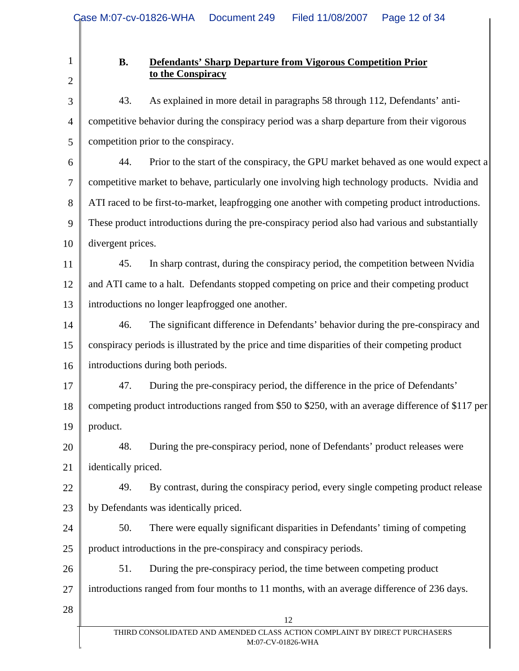## **B. Defendants' Sharp Departure from Vigorous Competition Prior to the Conspiracy**

3 4 5 43. As explained in more detail in paragraphs 58 through 112, Defendants' anticompetitive behavior during the conspiracy period was a sharp departure from their vigorous competition prior to the conspiracy.

6 7 8 9 10 44. Prior to the start of the conspiracy, the GPU market behaved as one would expect a competitive market to behave, particularly one involving high technology products. Nvidia and ATI raced to be first-to-market, leapfrogging one another with competing product introductions. These product introductions during the pre-conspiracy period also had various and substantially divergent prices.

11 12 13 45. In sharp contrast, during the conspiracy period, the competition between Nvidia and ATI came to a halt. Defendants stopped competing on price and their competing product introductions no longer leapfrogged one another.

14 15 16 46. The significant difference in Defendants' behavior during the pre-conspiracy and conspiracy periods is illustrated by the price and time disparities of their competing product introductions during both periods.

17 18 19 47. During the pre-conspiracy period, the difference in the price of Defendants' competing product introductions ranged from \$50 to \$250, with an average difference of \$117 per product.

20 21 48. During the pre-conspiracy period, none of Defendants' product releases were identically priced.

22 23 49. By contrast, during the conspiracy period, every single competing product release by Defendants was identically priced.

24 25 50. There were equally significant disparities in Defendants' timing of competing product introductions in the pre-conspiracy and conspiracy periods.

26 27 51. During the pre-conspiracy period, the time between competing product introductions ranged from four months to 11 months, with an average difference of 236 days.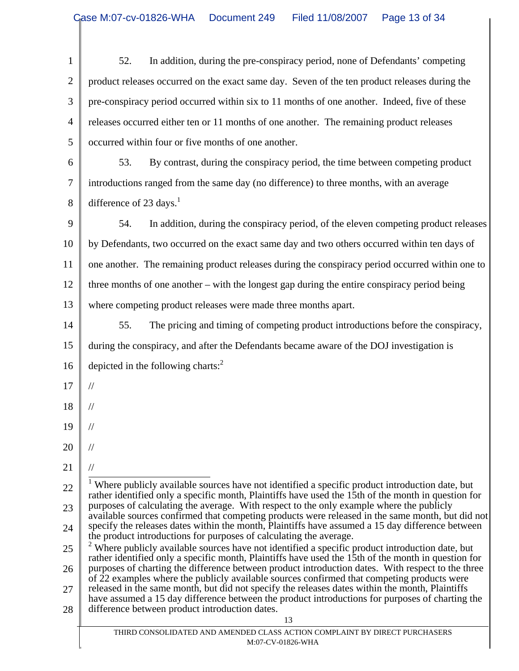| $\mathbf{1}$   | In addition, during the pre-conspiracy period, none of Defendants' competing<br>52.                                                                                                                      |
|----------------|----------------------------------------------------------------------------------------------------------------------------------------------------------------------------------------------------------|
| $\overline{c}$ | product releases occurred on the exact same day. Seven of the ten product releases during the                                                                                                            |
| 3              | pre-conspiracy period occurred within six to 11 months of one another. Indeed, five of these                                                                                                             |
| 4              | releases occurred either ten or 11 months of one another. The remaining product releases                                                                                                                 |
| 5              | occurred within four or five months of one another.                                                                                                                                                      |
| 6              | By contrast, during the conspiracy period, the time between competing product<br>53.                                                                                                                     |
| 7              | introductions ranged from the same day (no difference) to three months, with an average                                                                                                                  |
| 8              | difference of 23 days. $1$                                                                                                                                                                               |
| 9              | In addition, during the conspiracy period, of the eleven competing product releases<br>54.                                                                                                               |
| 10             | by Defendants, two occurred on the exact same day and two others occurred within ten days of                                                                                                             |
| 11             | one another. The remaining product releases during the conspiracy period occurred within one to                                                                                                          |
| 12             | three months of one another – with the longest gap during the entire conspiracy period being                                                                                                             |
| 13             | where competing product releases were made three months apart.                                                                                                                                           |
| 14             | The pricing and timing of competing product introductions before the conspiracy,<br>55.                                                                                                                  |
| 15             | during the conspiracy, and after the Defendants became aware of the DOJ investigation is                                                                                                                 |
| 16             | depicted in the following charts: <sup>2</sup>                                                                                                                                                           |
| 17             | $\frac{1}{2}$                                                                                                                                                                                            |
| 18             | $\frac{1}{2}$                                                                                                                                                                                            |
| 19             |                                                                                                                                                                                                          |
| 20             | $\frac{1}{2}$                                                                                                                                                                                            |
| 21             | $\frac{1}{2}$                                                                                                                                                                                            |
| 22             | Where publicly available sources have not identified a specific product introduction date, but<br>rather identified only a specific month, Plaintiffs have used the 15th of the month in question for    |
| 23             | purposes of calculating the average. With respect to the only example where the publicly<br>available sources confirmed that competing products were released in the same month, but did not             |
| 24             | specify the releases dates within the month, Plaintiffs have assumed a 15 day difference between<br>the product introductions for purposes of calculating the average.                                   |
| 25             | $2$ Where publicly available sources have not identified a specific product introduction date, but                                                                                                       |
| 26             | rather identified only a specific month, Plaintiffs have used the 15th of the month in question for<br>purposes of charting the difference between product introduction dates. With respect to the three |
| 27             | of 22 examples where the publicly available sources confirmed that competing products were<br>released in the same month, but did not specify the releases dates within the month, Plaintiffs            |
| 28             | have assumed a 15 day difference between the product introductions for purposes of charting the<br>difference between product introduction dates.                                                        |
|                | 13<br>THIRD CONSOLIDATED AND AMENDED CLASS ACTION COMPLAINT BY DIRECT PURCHASERS                                                                                                                         |
|                | M:07-CV-01826-WHA                                                                                                                                                                                        |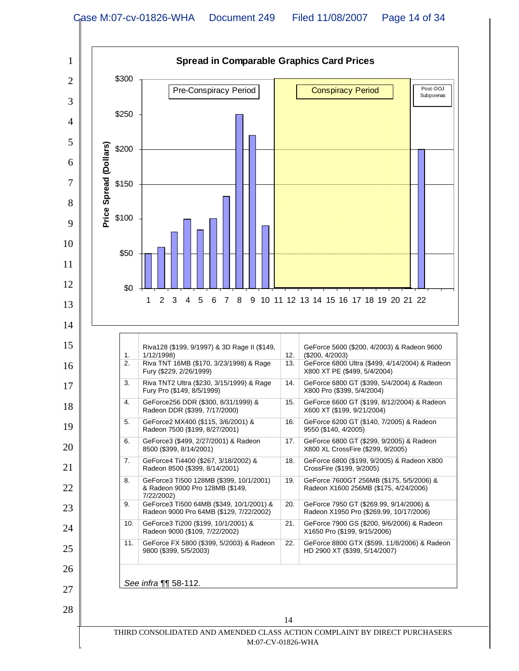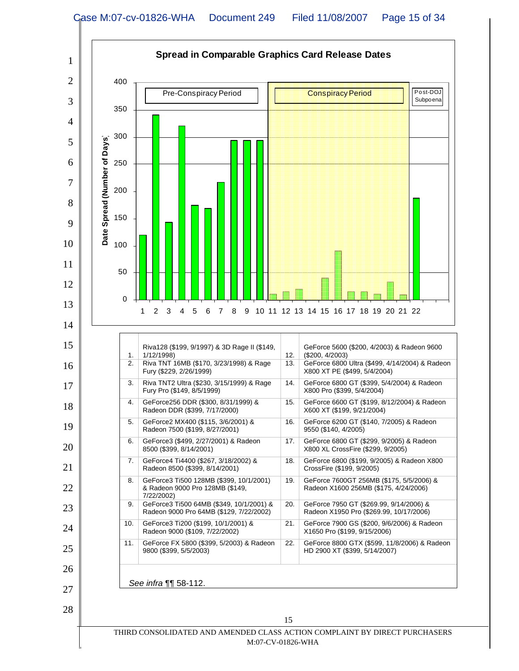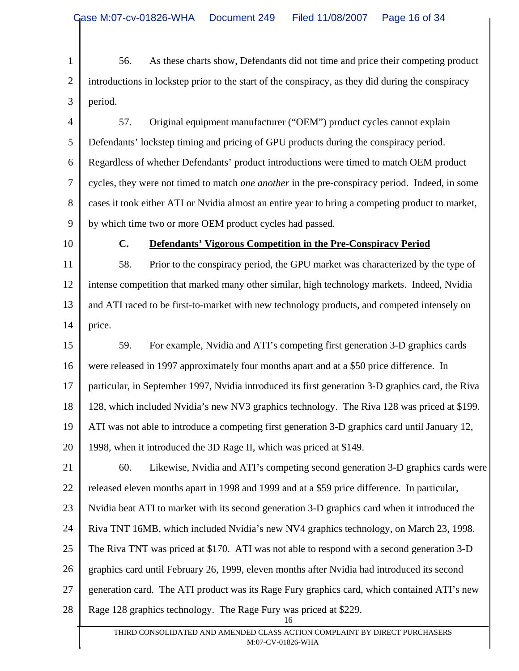1 2 3 56. As these charts show, Defendants did not time and price their competing product introductions in lockstep prior to the start of the conspiracy, as they did during the conspiracy period.

4 5 6 7 8 9 57. Original equipment manufacturer ("OEM") product cycles cannot explain Defendants' lockstep timing and pricing of GPU products during the conspiracy period. Regardless of whether Defendants' product introductions were timed to match OEM product cycles, they were not timed to match *one another* in the pre-conspiracy period. Indeed, in some cases it took either ATI or Nvidia almost an entire year to bring a competing product to market, by which time two or more OEM product cycles had passed.

10

#### **C. Defendants' Vigorous Competition in the Pre-Conspiracy Period**

11 12 13 14 58. Prior to the conspiracy period, the GPU market was characterized by the type of intense competition that marked many other similar, high technology markets. Indeed, Nvidia and ATI raced to be first-to-market with new technology products, and competed intensely on price.

15 16 17 18 19 20 59. For example, Nvidia and ATI's competing first generation 3-D graphics cards were released in 1997 approximately four months apart and at a \$50 price difference. In particular, in September 1997, Nvidia introduced its first generation 3-D graphics card, the Riva 128, which included Nvidia's new NV3 graphics technology. The Riva 128 was priced at \$199. ATI was not able to introduce a competing first generation 3-D graphics card until January 12, 1998, when it introduced the 3D Rage II, which was priced at \$149.

21 22 23 24 25 26 27 28 16 60. Likewise, Nvidia and ATI's competing second generation 3-D graphics cards were released eleven months apart in 1998 and 1999 and at a \$59 price difference. In particular, Nvidia beat ATI to market with its second generation 3-D graphics card when it introduced the Riva TNT 16MB, which included Nvidia's new NV4 graphics technology, on March 23, 1998. The Riva TNT was priced at \$170. ATI was not able to respond with a second generation 3-D graphics card until February 26, 1999, eleven months after Nvidia had introduced its second generation card. The ATI product was its Rage Fury graphics card, which contained ATI's new Rage 128 graphics technology. The Rage Fury was priced at \$229.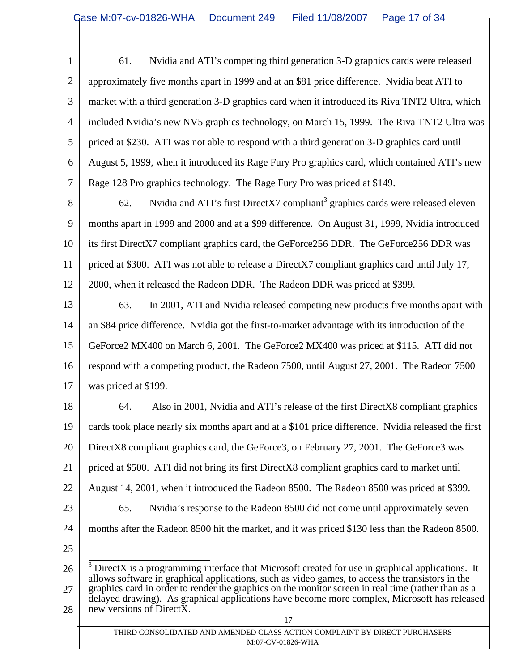1 2 3 4 5 6 7 61. Nvidia and ATI's competing third generation 3-D graphics cards were released approximately five months apart in 1999 and at an \$81 price difference. Nvidia beat ATI to market with a third generation 3-D graphics card when it introduced its Riva TNT2 Ultra, which included Nvidia's new NV5 graphics technology, on March 15, 1999. The Riva TNT2 Ultra was priced at \$230. ATI was not able to respond with a third generation 3-D graphics card until August 5, 1999, when it introduced its Rage Fury Pro graphics card, which contained ATI's new Rage 128 Pro graphics technology. The Rage Fury Pro was priced at \$149.

8 9 10 11 12 62. Nvidia and ATI's first DirectX7 compliant<sup>3</sup> graphics cards were released eleven months apart in 1999 and 2000 and at a \$99 difference. On August 31, 1999, Nvidia introduced its first DirectX7 compliant graphics card, the GeForce256 DDR. The GeForce256 DDR was priced at \$300. ATI was not able to release a DirectX7 compliant graphics card until July 17, 2000, when it released the Radeon DDR. The Radeon DDR was priced at \$399.

13 14 15 16 17 63. In 2001, ATI and Nvidia released competing new products five months apart with an \$84 price difference. Nvidia got the first-to-market advantage with its introduction of the GeForce2 MX400 on March 6, 2001. The GeForce2 MX400 was priced at \$115. ATI did not respond with a competing product, the Radeon 7500, until August 27, 2001. The Radeon 7500 was priced at \$199.

18 19 20 21 22 23 24 64. Also in 2001, Nvidia and ATI's release of the first DirectX8 compliant graphics cards took place nearly six months apart and at a \$101 price difference. Nvidia released the first DirectX8 compliant graphics card, the GeForce3, on February 27, 2001. The GeForce3 was priced at \$500. ATI did not bring its first DirectX8 compliant graphics card to market until August 14, 2001, when it introduced the Radeon 8500. The Radeon 8500 was priced at \$399. 65. Nvidia's response to the Radeon 8500 did not come until approximately seven months after the Radeon 8500 hit the market, and it was priced \$130 less than the Radeon 8500.

25

26 27 28  $\frac{3}{3}$  DirectX is a programming interface that Microsoft created for use in graphical applications. It allows software in graphical applications, such as video games, to access the transistors in the graphics card in order to render the graphics on the monitor screen in real time (rather than as a delayed drawing). As graphical applications have become more complex, Microsoft has released new versions of DirectX.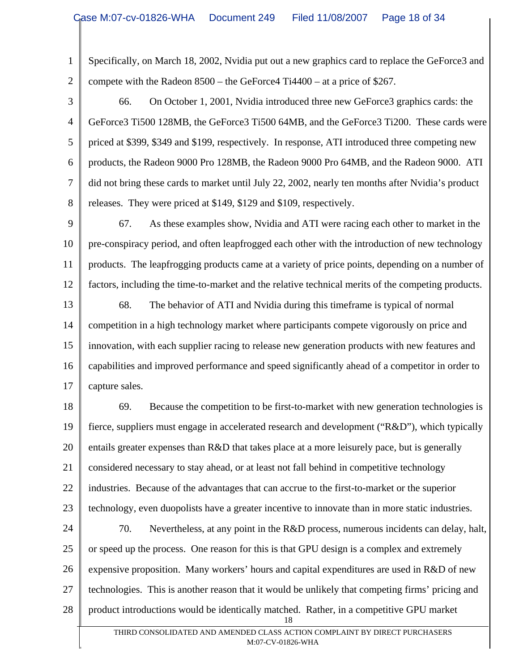1 2 Specifically, on March 18, 2002, Nvidia put out a new graphics card to replace the GeForce3 and compete with the Radeon 8500 – the GeForce4 Ti4400 – at a price of \$267.

3 4 5 6 7 8 66. On October 1, 2001, Nvidia introduced three new GeForce3 graphics cards: the GeForce3 Ti500 128MB, the GeForce3 Ti500 64MB, and the GeForce3 Ti200. These cards were priced at \$399, \$349 and \$199, respectively. In response, ATI introduced three competing new products, the Radeon 9000 Pro 128MB, the Radeon 9000 Pro 64MB, and the Radeon 9000. ATI did not bring these cards to market until July 22, 2002, nearly ten months after Nvidia's product releases. They were priced at \$149, \$129 and \$109, respectively.

9 10 11 12 67. As these examples show, Nvidia and ATI were racing each other to market in the pre-conspiracy period, and often leapfrogged each other with the introduction of new technology products. The leapfrogging products came at a variety of price points, depending on a number of factors, including the time-to-market and the relative technical merits of the competing products.

13 14 15 16 17 68. The behavior of ATI and Nvidia during this timeframe is typical of normal competition in a high technology market where participants compete vigorously on price and innovation, with each supplier racing to release new generation products with new features and capabilities and improved performance and speed significantly ahead of a competitor in order to capture sales.

18 19 20 21 22 23 69. Because the competition to be first-to-market with new generation technologies is fierce, suppliers must engage in accelerated research and development ("R&D"), which typically entails greater expenses than R&D that takes place at a more leisurely pace, but is generally considered necessary to stay ahead, or at least not fall behind in competitive technology industries. Because of the advantages that can accrue to the first-to-market or the superior technology, even duopolists have a greater incentive to innovate than in more static industries.

24 25 26 27 28 18 70. Nevertheless, at any point in the R&D process, numerous incidents can delay, halt, or speed up the process. One reason for this is that GPU design is a complex and extremely expensive proposition. Many workers' hours and capital expenditures are used in R&D of new technologies. This is another reason that it would be unlikely that competing firms' pricing and product introductions would be identically matched. Rather, in a competitive GPU market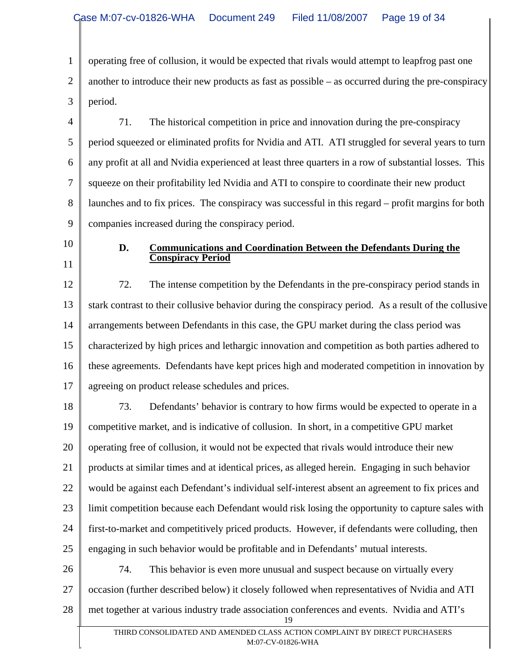1 2 3 operating free of collusion, it would be expected that rivals would attempt to leapfrog past one another to introduce their new products as fast as possible – as occurred during the pre-conspiracy period.

4 5 6 7 8 9 71. The historical competition in price and innovation during the pre-conspiracy period squeezed or eliminated profits for Nvidia and ATI. ATI struggled for several years to turn any profit at all and Nvidia experienced at least three quarters in a row of substantial losses. This squeeze on their profitability led Nvidia and ATI to conspire to coordinate their new product launches and to fix prices. The conspiracy was successful in this regard – profit margins for both companies increased during the conspiracy period.

10 11

# **D. Communications and Coordination Between the Defendants During the Conspiracy Period**

12 13 14 15 16 17 72. The intense competition by the Defendants in the pre-conspiracy period stands in stark contrast to their collusive behavior during the conspiracy period. As a result of the collusive arrangements between Defendants in this case, the GPU market during the class period was characterized by high prices and lethargic innovation and competition as both parties adhered to these agreements. Defendants have kept prices high and moderated competition in innovation by agreeing on product release schedules and prices.

18 19 20 21 22 23 24 25 73. Defendants' behavior is contrary to how firms would be expected to operate in a competitive market, and is indicative of collusion. In short, in a competitive GPU market operating free of collusion, it would not be expected that rivals would introduce their new products at similar times and at identical prices, as alleged herein. Engaging in such behavior would be against each Defendant's individual self-interest absent an agreement to fix prices and limit competition because each Defendant would risk losing the opportunity to capture sales with first-to-market and competitively priced products. However, if defendants were colluding, then engaging in such behavior would be profitable and in Defendants' mutual interests.

26 27 28 19 74. This behavior is even more unusual and suspect because on virtually every occasion (further described below) it closely followed when representatives of Nvidia and ATI met together at various industry trade association conferences and events. Nvidia and ATI's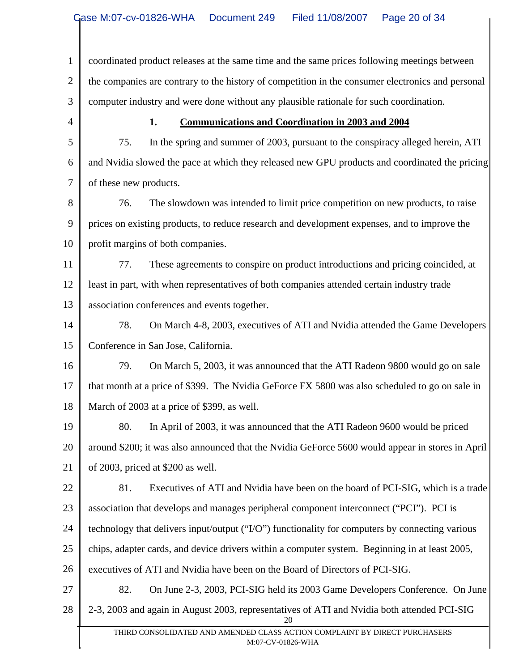1 2 3 coordinated product releases at the same time and the same prices following meetings between the companies are contrary to the history of competition in the consumer electronics and personal computer industry and were done without any plausible rationale for such coordination.

4 5

## **1. Communications and Coordination in 2003 and 2004**

6 7 75. In the spring and summer of 2003, pursuant to the conspiracy alleged herein, ATI and Nvidia slowed the pace at which they released new GPU products and coordinated the pricing of these new products.

8 9 10 76. The slowdown was intended to limit price competition on new products, to raise prices on existing products, to reduce research and development expenses, and to improve the profit margins of both companies.

11 12 13 77. These agreements to conspire on product introductions and pricing coincided, at least in part, with when representatives of both companies attended certain industry trade association conferences and events together.

14 15 78. On March 4-8, 2003, executives of ATI and Nvidia attended the Game Developers Conference in San Jose, California.

16 17 18 79. On March 5, 2003, it was announced that the ATI Radeon 9800 would go on sale that month at a price of \$399. The Nvidia GeForce FX 5800 was also scheduled to go on sale in March of 2003 at a price of \$399, as well.

19 20 21 80. In April of 2003, it was announced that the ATI Radeon 9600 would be priced around \$200; it was also announced that the Nvidia GeForce 5600 would appear in stores in April of 2003, priced at \$200 as well.

22 23 81. Executives of ATI and Nvidia have been on the board of PCI-SIG, which is a trade association that develops and manages peripheral component interconnect ("PCI"). PCI is

24 technology that delivers input/output ("I/O") functionality for computers by connecting various

25 chips, adapter cards, and device drivers within a computer system. Beginning in at least 2005,

26 executives of ATI and Nvidia have been on the Board of Directors of PCI-SIG.

27

28

82. On June 2-3, 2003, PCI-SIG held its 2003 Game Developers Conference. On June 2-3, 2003 and again in August 2003, representatives of ATI and Nvidia both attended PCI-SIG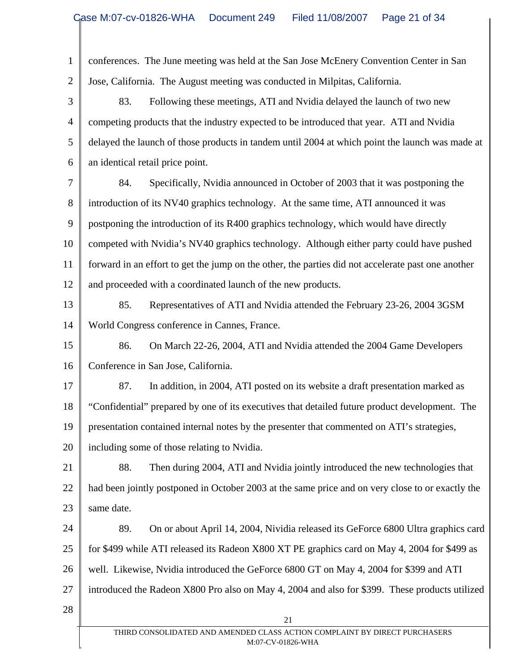| $\mathbf{1}$   | conferences. The June meeting was held at the San Jose McEnery Convention Center in San            |
|----------------|----------------------------------------------------------------------------------------------------|
| $\overline{2}$ | Jose, California. The August meeting was conducted in Milpitas, California.                        |
| 3              | 83.<br>Following these meetings, ATI and Nvidia delayed the launch of two new                      |
| $\overline{4}$ | competing products that the industry expected to be introduced that year. ATI and Nvidia           |
| 5              | delayed the launch of those products in tandem until 2004 at which point the launch was made at    |
| 6              | an identical retail price point.                                                                   |
| 7              | Specifically, Nvidia announced in October of 2003 that it was postponing the<br>84.                |
| $8\,$          | introduction of its NV40 graphics technology. At the same time, ATI announced it was               |
| 9              | postponing the introduction of its R400 graphics technology, which would have directly             |
| 10             | competed with Nvidia's NV40 graphics technology. Although either party could have pushed           |
| 11             | forward in an effort to get the jump on the other, the parties did not accelerate past one another |
| 12             | and proceeded with a coordinated launch of the new products.                                       |
| 13             | 85.<br>Representatives of ATI and Nvidia attended the February 23-26, 2004 3GSM                    |
| 14             | World Congress conference in Cannes, France.                                                       |
| 15             | 86.<br>On March 22-26, 2004, ATI and Nvidia attended the 2004 Game Developers                      |
| 16             | Conference in San Jose, California.                                                                |
| 17             | 87.<br>In addition, in 2004, ATI posted on its website a draft presentation marked as              |
| 18             | "Confidential" prepared by one of its executives that detailed future product development. The     |
| 19             | presentation contained internal notes by the presenter that commented on ATI's strategies,         |
| 20             | including some of those relating to Nvidia.                                                        |
| 21             | 88.<br>Then during 2004, ATI and Nvidia jointly introduced the new technologies that               |
| 22             | had been jointly postponed in October 2003 at the same price and on very close to or exactly the   |
| 23             | same date.                                                                                         |
| 24             | 89.<br>On or about April 14, 2004, Nividia released its GeForce 6800 Ultra graphics card           |
| 25             | for \$499 while ATI released its Radeon X800 XT PE graphics card on May 4, 2004 for \$499 as       |
| 26             | well. Likewise, Nvidia introduced the GeForce 6800 GT on May 4, 2004 for \$399 and ATI             |
| 27             | introduced the Radeon X800 Pro also on May 4, 2004 and also for \$399. These products utilized     |
| 28             |                                                                                                    |
|                | 21<br>THIRD CONSOLIDATED AND AMENDED CLASS ACTION COMPLAINT BY DIRECT PURCHASERS                   |
|                | M:07-CV-01826-WHA                                                                                  |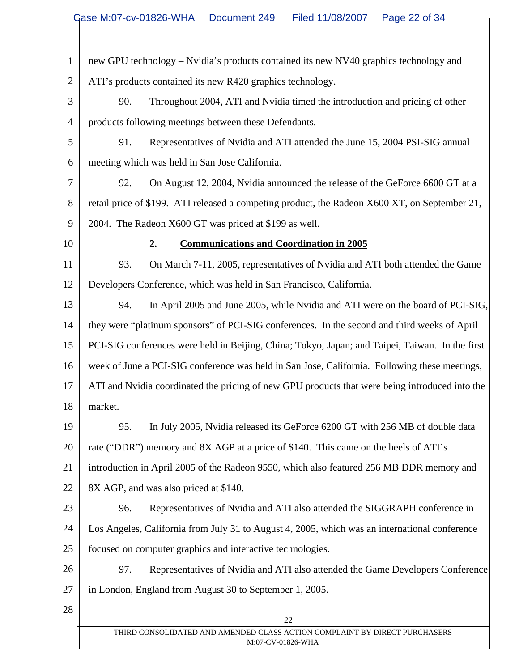| $\mathbf{1}$   | new GPU technology - Nvidia's products contained its new NV40 graphics technology and           |
|----------------|-------------------------------------------------------------------------------------------------|
| $\overline{2}$ | ATI's products contained its new R420 graphics technology.                                      |
| 3              | Throughout 2004, ATI and Nvidia timed the introduction and pricing of other<br>90.              |
| $\overline{4}$ | products following meetings between these Defendants.                                           |
| 5              | Representatives of Nvidia and ATI attended the June 15, 2004 PSI-SIG annual<br>91.              |
| 6              | meeting which was held in San Jose California.                                                  |
| 7              | On August 12, 2004, Nvidia announced the release of the GeForce 6600 GT at a<br>92.             |
| 8              | retail price of \$199. ATI released a competing product, the Radeon X600 XT, on September 21,   |
| 9              | 2004. The Radeon X600 GT was priced at \$199 as well.                                           |
| 10             | 2.<br><b>Communications and Coordination in 2005</b>                                            |
| 11             | 93.<br>On March 7-11, 2005, representatives of Nvidia and ATI both attended the Game            |
| 12             | Developers Conference, which was held in San Francisco, California.                             |
| 13             | In April 2005 and June 2005, while Nvidia and ATI were on the board of PCI-SIG,<br>94.          |
| 14             | they were "platinum sponsors" of PCI-SIG conferences. In the second and third weeks of April    |
| 15             | PCI-SIG conferences were held in Beijing, China; Tokyo, Japan; and Taipei, Taiwan. In the first |
| 16             | week of June a PCI-SIG conference was held in San Jose, California. Following these meetings,   |
| 17             | ATI and Nvidia coordinated the pricing of new GPU products that were being introduced into the  |
| 18             | market.                                                                                         |
| 19             | In July 2005, Nvidia released its GeForce 6200 GT with 256 MB of double data<br>95.             |
| 20             | rate ("DDR") memory and 8X AGP at a price of \$140. This came on the heels of ATI's             |
| 21             | introduction in April 2005 of the Radeon 9550, which also featured 256 MB DDR memory and        |
| 22             | 8X AGP, and was also priced at \$140.                                                           |
| 23             | 96.<br>Representatives of Nvidia and ATI also attended the SIGGRAPH conference in               |
| 24             | Los Angeles, California from July 31 to August 4, 2005, which was an international conference   |
| 25             | focused on computer graphics and interactive technologies.                                      |
| 26             | 97.<br>Representatives of Nvidia and ATI also attended the Game Developers Conference           |
| 27             | in London, England from August 30 to September 1, 2005.                                         |
| 28             | 22                                                                                              |
|                | THIRD CONSOLIDATED AND AMENDED CLASS ACTION COMPLAINT BY DIRECT PURCHASERS                      |
|                | M:07-CV-01826-WHA                                                                               |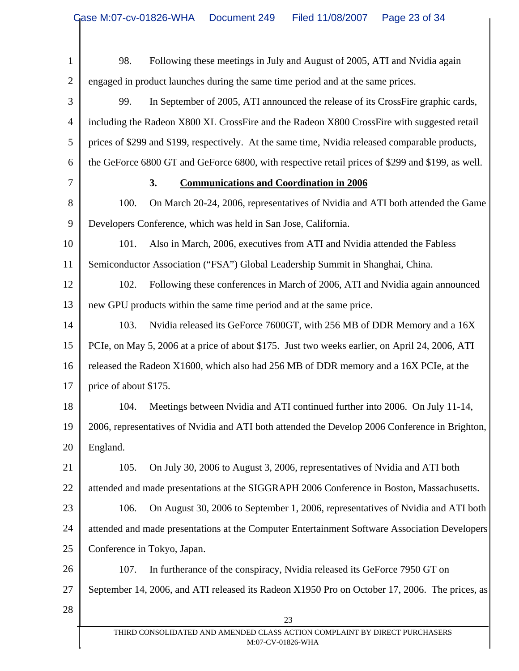| $\mathbf{1}$   | Following these meetings in July and August of 2005, ATI and Nvidia again<br>98.                 |
|----------------|--------------------------------------------------------------------------------------------------|
| $\overline{2}$ | engaged in product launches during the same time period and at the same prices.                  |
| 3              | In September of 2005, ATI announced the release of its CrossFire graphic cards,<br>99.           |
| 4              | including the Radeon X800 XL CrossFire and the Radeon X800 CrossFire with suggested retail       |
| 5              | prices of \$299 and \$199, respectively. At the same time, Nvidia released comparable products,  |
| 6              | the GeForce 6800 GT and GeForce 6800, with respective retail prices of \$299 and \$199, as well. |
| 7              | 3.<br><b>Communications and Coordination in 2006</b>                                             |
| 8              | On March 20-24, 2006, representatives of Nvidia and ATI both attended the Game<br>100.           |
| 9              | Developers Conference, which was held in San Jose, California.                                   |
| 10             | Also in March, 2006, executives from ATI and Nvidia attended the Fabless<br>101.                 |
| 11             | Semiconductor Association ("FSA") Global Leadership Summit in Shanghai, China.                   |
| 12             | Following these conferences in March of 2006, ATI and Nvidia again announced<br>102.             |
| 13             | new GPU products within the same time period and at the same price.                              |
| 14             | Nvidia released its GeForce 7600GT, with 256 MB of DDR Memory and a 16X<br>103.                  |
| 15             | PCIe, on May 5, 2006 at a price of about \$175. Just two weeks earlier, on April 24, 2006, ATI   |
| 16             | released the Radeon X1600, which also had 256 MB of DDR memory and a 16X PCIe, at the            |
| 17             | price of about \$175.                                                                            |
| 18             | Meetings between Nvidia and ATI continued further into 2006. On July 11-14,<br>104.              |
| 19             | 2006, representatives of Nvidia and ATI both attended the Develop 2006 Conference in Brighton,   |
| 20             | England.                                                                                         |
| 21             | 105.<br>On July 30, 2006 to August 3, 2006, representatives of Nvidia and ATI both               |
| 22             | attended and made presentations at the SIGGRAPH 2006 Conference in Boston, Massachusetts.        |
| 23             | On August 30, 2006 to September 1, 2006, representatives of Nvidia and ATI both<br>106.          |
| 24             | attended and made presentations at the Computer Entertainment Software Association Developers    |
| 25             | Conference in Tokyo, Japan.                                                                      |
| 26             | 107.<br>In furtherance of the conspiracy, Nvidia released its GeForce 7950 GT on                 |
| 27             | September 14, 2006, and ATI released its Radeon X1950 Pro on October 17, 2006. The prices, as    |
| 28             | 23                                                                                               |
|                | THIRD CONSOLIDATED AND AMENDED CLASS ACTION COMPLAINT BY DIRECT PURCHASERS<br>M:07-CV-01826-WHA  |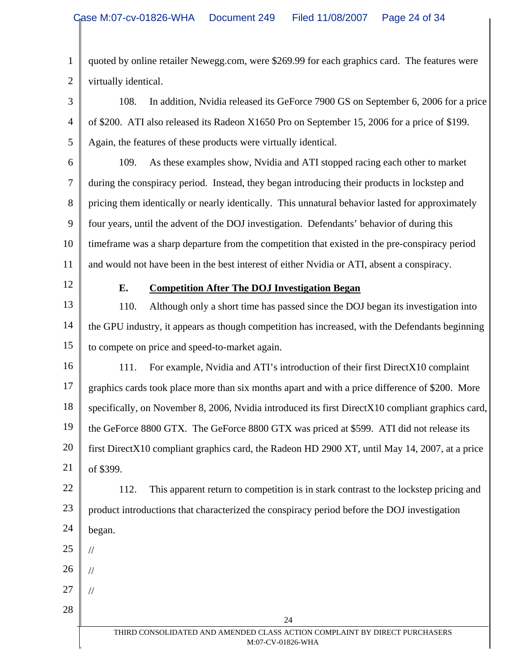1 2 quoted by online retailer Newegg.com, were \$269.99 for each graphics card. The features were virtually identical.

3 4 5 108. In addition, Nvidia released its GeForce 7900 GS on September 6, 2006 for a price of \$200. ATI also released its Radeon X1650 Pro on September 15, 2006 for a price of \$199. Again, the features of these products were virtually identical.

6

7 8 9 10 11 109. As these examples show, Nvidia and ATI stopped racing each other to market during the conspiracy period. Instead, they began introducing their products in lockstep and pricing them identically or nearly identically. This unnatural behavior lasted for approximately four years, until the advent of the DOJ investigation. Defendants' behavior of during this timeframe was a sharp departure from the competition that existed in the pre-conspiracy period and would not have been in the best interest of either Nvidia or ATI, absent a conspiracy.

12

#### **E. Competition After The DOJ Investigation Began**

13 14 15 110. Although only a short time has passed since the DOJ began its investigation into the GPU industry, it appears as though competition has increased, with the Defendants beginning to compete on price and speed-to-market again.

16 17 18 19 20 21 111. For example, Nvidia and ATI's introduction of their first DirectX10 complaint graphics cards took place more than six months apart and with a price difference of \$200. More specifically, on November 8, 2006, Nvidia introduced its first DirectX10 compliant graphics card, the GeForce 8800 GTX. The GeForce 8800 GTX was priced at \$599. ATI did not release its first DirectX10 compliant graphics card, the Radeon HD 2900 XT, until May 14, 2007, at a price of \$399.

22 23 24 112. This apparent return to competition is in stark contrast to the lockstep pricing and product introductions that characterized the conspiracy period before the DOJ investigation began.

25

//

//

//

26

27

28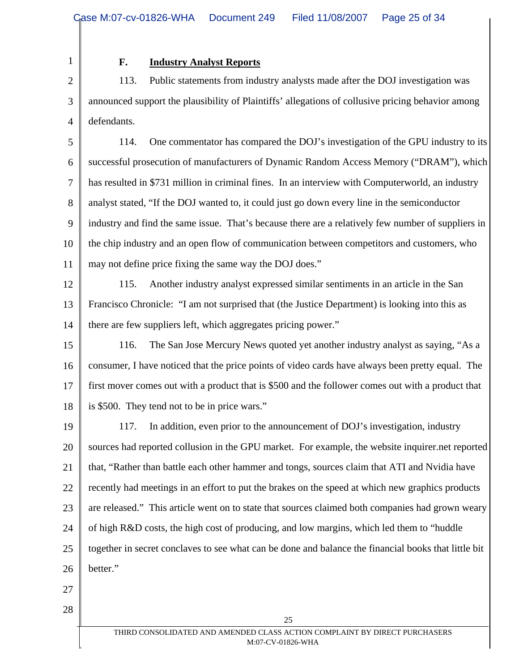1 2

# **F. Industry Analyst Reports**

3 4 113. Public statements from industry analysts made after the DOJ investigation was announced support the plausibility of Plaintiffs' allegations of collusive pricing behavior among defendants.

5 6 7 8 9 10 11 114. One commentator has compared the DOJ's investigation of the GPU industry to its successful prosecution of manufacturers of Dynamic Random Access Memory ("DRAM"), which has resulted in \$731 million in criminal fines. In an interview with Computerworld, an industry analyst stated, "If the DOJ wanted to, it could just go down every line in the semiconductor industry and find the same issue. That's because there are a relatively few number of suppliers in the chip industry and an open flow of communication between competitors and customers, who may not define price fixing the same way the DOJ does."

12

13

14

115. Another industry analyst expressed similar sentiments in an article in the San Francisco Chronicle: "I am not surprised that (the Justice Department) is looking into this as there are few suppliers left, which aggregates pricing power."

15 16 17 18 116. The San Jose Mercury News quoted yet another industry analyst as saying, "As a consumer, I have noticed that the price points of video cards have always been pretty equal. The first mover comes out with a product that is \$500 and the follower comes out with a product that is \$500. They tend not to be in price wars."

19 20 21 22 23 24 25 26 117. In addition, even prior to the announcement of DOJ's investigation, industry sources had reported collusion in the GPU market. For example, the website inquirer.net reported that, "Rather than battle each other hammer and tongs, sources claim that ATI and Nvidia have recently had meetings in an effort to put the brakes on the speed at which new graphics products are released." This article went on to state that sources claimed both companies had grown weary of high R&D costs, the high cost of producing, and low margins, which led them to "huddle together in secret conclaves to see what can be done and balance the financial books that little bit better."

- 27
- 28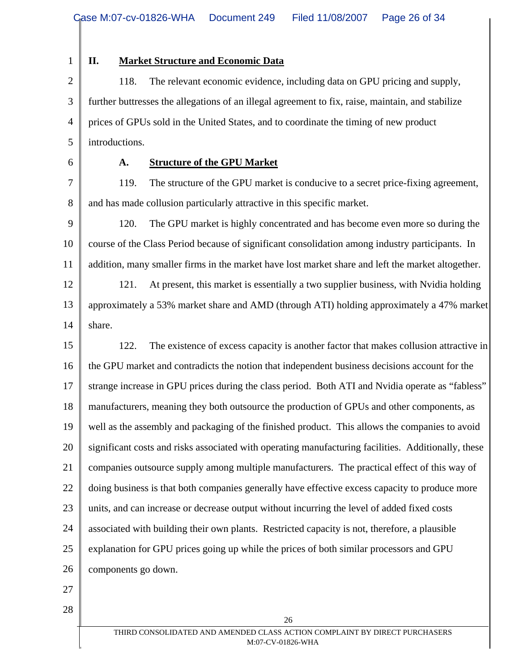1

# **II. Market Structure and Economic Data**

2 3 4 5 118. The relevant economic evidence, including data on GPU pricing and supply, further buttresses the allegations of an illegal agreement to fix, raise, maintain, and stabilize prices of GPUs sold in the United States, and to coordinate the timing of new product introductions.

6

## **A. Structure of the GPU Market**

7 8 119. The structure of the GPU market is conducive to a secret price-fixing agreement, and has made collusion particularly attractive in this specific market.

9 10 11 120. The GPU market is highly concentrated and has become even more so during the course of the Class Period because of significant consolidation among industry participants. In addition, many smaller firms in the market have lost market share and left the market altogether.

12 13 14 121. At present, this market is essentially a two supplier business, with Nvidia holding approximately a 53% market share and AMD (through ATI) holding approximately a 47% market share.

15 16 17 18 19 20 21 22 23 24 25 26 122. The existence of excess capacity is another factor that makes collusion attractive in the GPU market and contradicts the notion that independent business decisions account for the strange increase in GPU prices during the class period. Both ATI and Nvidia operate as "fabless" manufacturers, meaning they both outsource the production of GPUs and other components, as well as the assembly and packaging of the finished product. This allows the companies to avoid significant costs and risks associated with operating manufacturing facilities. Additionally, these companies outsource supply among multiple manufacturers. The practical effect of this way of doing business is that both companies generally have effective excess capacity to produce more units, and can increase or decrease output without incurring the level of added fixed costs associated with building their own plants. Restricted capacity is not, therefore, a plausible explanation for GPU prices going up while the prices of both similar processors and GPU components go down.

- 27
- 28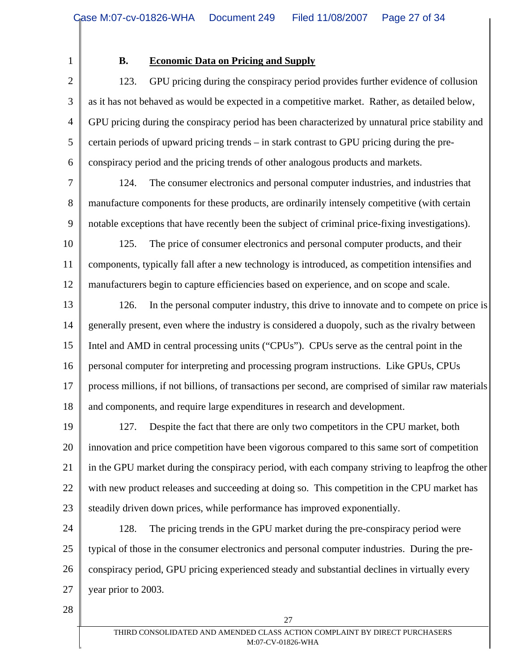1

# **B. Economic Data on Pricing and Supply**

2 3 4 5 6 123. GPU pricing during the conspiracy period provides further evidence of collusion as it has not behaved as would be expected in a competitive market. Rather, as detailed below, GPU pricing during the conspiracy period has been characterized by unnatural price stability and certain periods of upward pricing trends – in stark contrast to GPU pricing during the preconspiracy period and the pricing trends of other analogous products and markets.

7

8

9

124. The consumer electronics and personal computer industries, and industries that manufacture components for these products, are ordinarily intensely competitive (with certain notable exceptions that have recently been the subject of criminal price-fixing investigations).

10 11 12 125. The price of consumer electronics and personal computer products, and their components, typically fall after a new technology is introduced, as competition intensifies and manufacturers begin to capture efficiencies based on experience, and on scope and scale.

13 14 15 16 17 18 126. In the personal computer industry, this drive to innovate and to compete on price is generally present, even where the industry is considered a duopoly, such as the rivalry between Intel and AMD in central processing units ("CPUs"). CPUs serve as the central point in the personal computer for interpreting and processing program instructions. Like GPUs, CPUs process millions, if not billions, of transactions per second, are comprised of similar raw materials and components, and require large expenditures in research and development.

19 20 21 22 23 127. Despite the fact that there are only two competitors in the CPU market, both innovation and price competition have been vigorous compared to this same sort of competition in the GPU market during the conspiracy period, with each company striving to leapfrog the other with new product releases and succeeding at doing so. This competition in the CPU market has steadily driven down prices, while performance has improved exponentially.

24 25 26 27 128. The pricing trends in the GPU market during the pre-conspiracy period were typical of those in the consumer electronics and personal computer industries. During the preconspiracy period, GPU pricing experienced steady and substantial declines in virtually every year prior to 2003.

28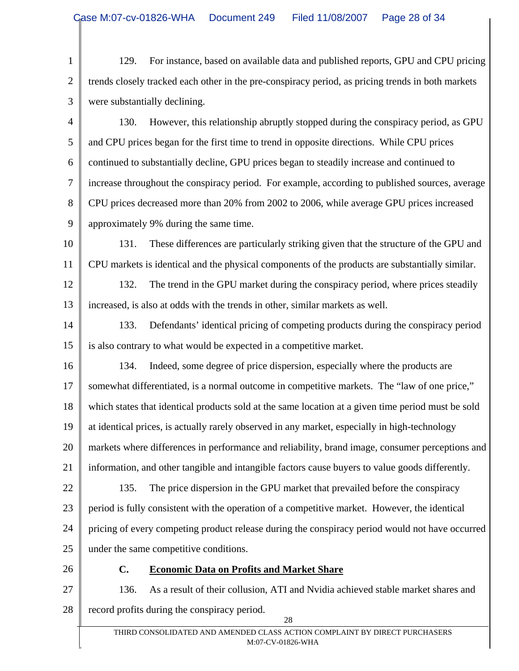1 2 3 129. For instance, based on available data and published reports, GPU and CPU pricing trends closely tracked each other in the pre-conspiracy period, as pricing trends in both markets were substantially declining.

4 5 6 7 8 9 130. However, this relationship abruptly stopped during the conspiracy period, as GPU and CPU prices began for the first time to trend in opposite directions. While CPU prices continued to substantially decline, GPU prices began to steadily increase and continued to increase throughout the conspiracy period. For example, according to published sources, average CPU prices decreased more than 20% from 2002 to 2006, while average GPU prices increased approximately 9% during the same time.

10 11 131. These differences are particularly striking given that the structure of the GPU and CPU markets is identical and the physical components of the products are substantially similar.

12 13 132. The trend in the GPU market during the conspiracy period, where prices steadily increased, is also at odds with the trends in other, similar markets as well.

14 15 133. Defendants' identical pricing of competing products during the conspiracy period is also contrary to what would be expected in a competitive market.

16 17 18 19 20 21 22 23 24 134. Indeed, some degree of price dispersion, especially where the products are somewhat differentiated, is a normal outcome in competitive markets. The "law of one price," which states that identical products sold at the same location at a given time period must be sold at identical prices, is actually rarely observed in any market, especially in high-technology markets where differences in performance and reliability, brand image, consumer perceptions and information, and other tangible and intangible factors cause buyers to value goods differently. 135. The price dispersion in the GPU market that prevailed before the conspiracy period is fully consistent with the operation of a competitive market. However, the identical pricing of every competing product release during the conspiracy period would not have occurred

25 under the same competitive conditions.

26

## **C. Economic Data on Profits and Market Share**

27 28 28 136. As a result of their collusion, ATI and Nvidia achieved stable market shares and record profits during the conspiracy period.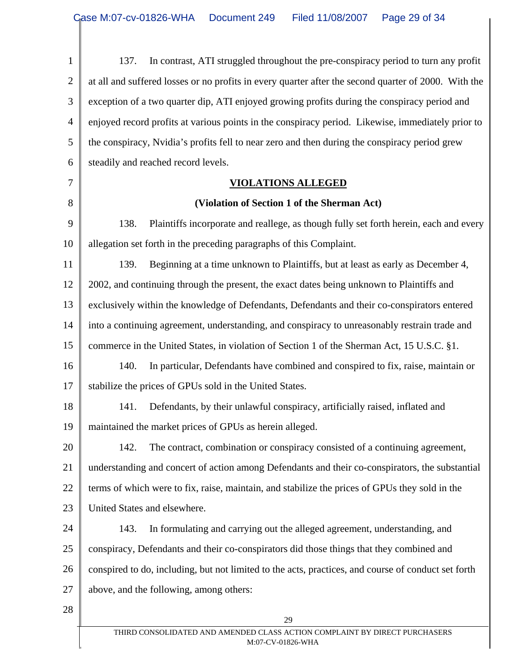| $\mathbf{1}$   | In contrast, ATI struggled throughout the pre-conspiracy period to turn any profit<br>137.           |
|----------------|------------------------------------------------------------------------------------------------------|
| $\overline{2}$ | at all and suffered losses or no profits in every quarter after the second quarter of 2000. With the |
| 3              | exception of a two quarter dip, ATI enjoyed growing profits during the conspiracy period and         |
| $\overline{4}$ | enjoyed record profits at various points in the conspiracy period. Likewise, immediately prior to    |
| 5              | the conspiracy, Nvidia's profits fell to near zero and then during the conspiracy period grew        |
| 6              | steadily and reached record levels.                                                                  |
| 7              | <b>VIOLATIONS ALLEGED</b>                                                                            |
| 8              | (Violation of Section 1 of the Sherman Act)                                                          |
| 9              | Plaintiffs incorporate and reallege, as though fully set forth herein, each and every<br>138.        |
| 10             | allegation set forth in the preceding paragraphs of this Complaint.                                  |
| 11             | Beginning at a time unknown to Plaintiffs, but at least as early as December 4,<br>139.              |
| 12             | 2002, and continuing through the present, the exact dates being unknown to Plaintiffs and            |
| 13             | exclusively within the knowledge of Defendants, Defendants and their co-conspirators entered         |
| 14             | into a continuing agreement, understanding, and conspiracy to unreasonably restrain trade and        |
| 15             | commerce in the United States, in violation of Section 1 of the Sherman Act, 15 U.S.C. §1.           |
| 16             | In particular, Defendants have combined and conspired to fix, raise, maintain or<br>140.             |
| 17             | stabilize the prices of GPUs sold in the United States.                                              |
| 18             | Defendants, by their unlawful conspiracy, artificially raised, inflated and<br>141.                  |
| 19             | maintained the market prices of GPUs as herein alleged.                                              |
| 20             | The contract, combination or conspiracy consisted of a continuing agreement,<br>142.                 |
| 21             | understanding and concert of action among Defendants and their co-conspirators, the substantial      |
| 22             | terms of which were to fix, raise, maintain, and stabilize the prices of GPUs they sold in the       |
| 23             | United States and elsewhere.                                                                         |
| 24             | 143.<br>In formulating and carrying out the alleged agreement, understanding, and                    |
| 25             | conspiracy, Defendants and their co-conspirators did those things that they combined and             |
| 26             | conspired to do, including, but not limited to the acts, practices, and course of conduct set forth  |
| 27             | above, and the following, among others:                                                              |
| 28             | 29                                                                                                   |
|                | THIRD CONSOLIDATED AND AMENDED CLASS ACTION COMPLAINT BY DIRECT PURCHASERS                           |
|                | M:07-CV-01826-WHA                                                                                    |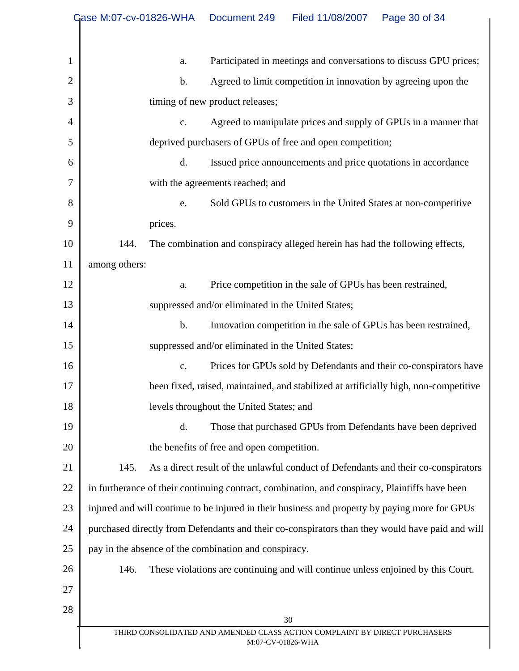|                | Case M:07-cv-01826-WHA                                                                          | Document 249<br>Filed 11/08/2007<br>Page 30 of 34                                  |  |  |  |  |
|----------------|-------------------------------------------------------------------------------------------------|------------------------------------------------------------------------------------|--|--|--|--|
|                |                                                                                                 |                                                                                    |  |  |  |  |
| $\mathbf{1}$   | Participated in meetings and conversations to discuss GPU prices;<br>a.                         |                                                                                    |  |  |  |  |
| $\overline{2}$ | $\mathbf b$ .                                                                                   | Agreed to limit competition in innovation by agreeing upon the                     |  |  |  |  |
| 3              |                                                                                                 | timing of new product releases;                                                    |  |  |  |  |
| 4              | c.                                                                                              | Agreed to manipulate prices and supply of GPUs in a manner that                    |  |  |  |  |
| 5              | deprived purchasers of GPUs of free and open competition;                                       |                                                                                    |  |  |  |  |
| 6              | d.                                                                                              | Issued price announcements and price quotations in accordance                      |  |  |  |  |
| $\overline{7}$ | with the agreements reached; and                                                                |                                                                                    |  |  |  |  |
| 8              | e.                                                                                              | Sold GPUs to customers in the United States at non-competitive                     |  |  |  |  |
| 9              | prices.                                                                                         |                                                                                    |  |  |  |  |
| 10             | The combination and conspiracy alleged herein has had the following effects,<br>144.            |                                                                                    |  |  |  |  |
| 11             | among others:                                                                                   |                                                                                    |  |  |  |  |
| 12             | a.                                                                                              | Price competition in the sale of GPUs has been restrained,                         |  |  |  |  |
| 13             | suppressed and/or eliminated in the United States;                                              |                                                                                    |  |  |  |  |
| 14             | $b$ .<br>Innovation competition in the sale of GPUs has been restrained,                        |                                                                                    |  |  |  |  |
| 15             | suppressed and/or eliminated in the United States;                                              |                                                                                    |  |  |  |  |
| 16             | Prices for GPUs sold by Defendants and their co-conspirators have<br>c.                         |                                                                                    |  |  |  |  |
| 17             | been fixed, raised, maintained, and stabilized at artificially high, non-competitive            |                                                                                    |  |  |  |  |
| 18             |                                                                                                 | levels throughout the United States; and                                           |  |  |  |  |
| 19             | d.                                                                                              | Those that purchased GPUs from Defendants have been deprived                       |  |  |  |  |
| 20             |                                                                                                 | the benefits of free and open competition.                                         |  |  |  |  |
| 21             | 145.                                                                                            | As a direct result of the unlawful conduct of Defendants and their co-conspirators |  |  |  |  |
| 22             | in furtherance of their continuing contract, combination, and conspiracy, Plaintiffs have been  |                                                                                    |  |  |  |  |
| 23             | injured and will continue to be injured in their business and property by paying more for GPUs  |                                                                                    |  |  |  |  |
| 24             | purchased directly from Defendants and their co-conspirators than they would have paid and will |                                                                                    |  |  |  |  |
| 25             | pay in the absence of the combination and conspiracy.                                           |                                                                                    |  |  |  |  |
| 26             | 146.                                                                                            | These violations are continuing and will continue unless enjoined by this Court.   |  |  |  |  |
| 27             |                                                                                                 |                                                                                    |  |  |  |  |
| 28             |                                                                                                 | 30                                                                                 |  |  |  |  |
|                | THIRD CONSOLIDATED AND AMENDED CLASS ACTION COMPLAINT BY DIRECT PURCHASERS                      |                                                                                    |  |  |  |  |
|                |                                                                                                 | M:07-CV-01826-WHA                                                                  |  |  |  |  |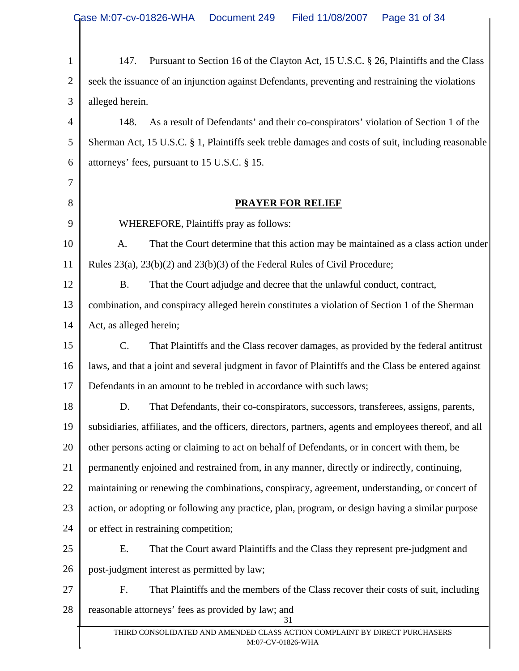| $\mathbf{1}$   | Pursuant to Section 16 of the Clayton Act, 15 U.S.C. § 26, Plaintiffs and the Class<br>147.            |  |  |  |
|----------------|--------------------------------------------------------------------------------------------------------|--|--|--|
| $\overline{2}$ | seek the issuance of an injunction against Defendants, preventing and restraining the violations       |  |  |  |
| 3              | alleged herein.                                                                                        |  |  |  |
| 4              | 148.<br>As a result of Defendants' and their co-conspirators' violation of Section 1 of the            |  |  |  |
| 5              | Sherman Act, 15 U.S.C. § 1, Plaintiffs seek treble damages and costs of suit, including reasonable     |  |  |  |
| 6              | attorneys' fees, pursuant to 15 U.S.C. § 15.                                                           |  |  |  |
| 7              |                                                                                                        |  |  |  |
| 8              | <b>PRAYER FOR RELIEF</b>                                                                               |  |  |  |
| 9              | WHEREFORE, Plaintiffs pray as follows:                                                                 |  |  |  |
| 10             | That the Court determine that this action may be maintained as a class action under<br>A.              |  |  |  |
| 11             | Rules $23(a)$ , $23(b)(2)$ and $23(b)(3)$ of the Federal Rules of Civil Procedure;                     |  |  |  |
| 12             | <b>B.</b><br>That the Court adjudge and decree that the unlawful conduct, contract,                    |  |  |  |
| 13             | combination, and conspiracy alleged herein constitutes a violation of Section 1 of the Sherman         |  |  |  |
| 14             | Act, as alleged herein;                                                                                |  |  |  |
| 15             | C.<br>That Plaintiffs and the Class recover damages, as provided by the federal antitrust              |  |  |  |
| 16             | laws, and that a joint and several judgment in favor of Plaintiffs and the Class be entered against    |  |  |  |
| 17             | Defendants in an amount to be trebled in accordance with such laws;                                    |  |  |  |
| 18             | D.<br>That Defendants, their co-conspirators, successors, transferees, assigns, parents,               |  |  |  |
| 19             | subsidiaries, affiliates, and the officers, directors, partners, agents and employees thereof, and all |  |  |  |
| 20             | other persons acting or claiming to act on behalf of Defendants, or in concert with them, be           |  |  |  |
| 21             | permanently enjoined and restrained from, in any manner, directly or indirectly, continuing,           |  |  |  |
| 22             | maintaining or renewing the combinations, conspiracy, agreement, understanding, or concert of          |  |  |  |
| 23             | action, or adopting or following any practice, plan, program, or design having a similar purpose       |  |  |  |
| 24             | or effect in restraining competition;                                                                  |  |  |  |
| 25             | E.<br>That the Court award Plaintiffs and the Class they represent pre-judgment and                    |  |  |  |
| 26             | post-judgment interest as permitted by law;                                                            |  |  |  |
| 27             | F.<br>That Plaintiffs and the members of the Class recover their costs of suit, including              |  |  |  |
| 28             | reasonable attorneys' fees as provided by law; and<br>31                                               |  |  |  |
|                | THIRD CONSOLIDATED AND AMENDED CLASS ACTION COMPLAINT BY DIRECT PURCHASERS<br>M:07-CV-01826-WHA        |  |  |  |
|                |                                                                                                        |  |  |  |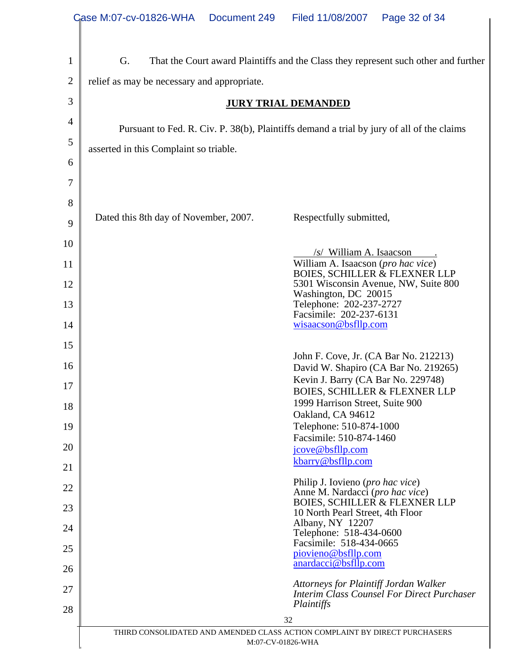|                | Case M:07-cv-01826-WHA<br>Document 249<br>Filed 11/08/2007<br>Page 32 of 34                     |  |  |  |  |  |  |  |
|----------------|-------------------------------------------------------------------------------------------------|--|--|--|--|--|--|--|
|                |                                                                                                 |  |  |  |  |  |  |  |
| $\mathbf 1$    | G.<br>That the Court award Plaintiffs and the Class they represent such other and further       |  |  |  |  |  |  |  |
| $\overline{2}$ | relief as may be necessary and appropriate.                                                     |  |  |  |  |  |  |  |
| 3              | <b>JURY TRIAL DEMANDED</b>                                                                      |  |  |  |  |  |  |  |
| 4              |                                                                                                 |  |  |  |  |  |  |  |
| 5              | Pursuant to Fed. R. Civ. P. 38(b), Plaintiffs demand a trial by jury of all of the claims       |  |  |  |  |  |  |  |
| 6              | asserted in this Complaint so triable.                                                          |  |  |  |  |  |  |  |
| 7              |                                                                                                 |  |  |  |  |  |  |  |
| 8              |                                                                                                 |  |  |  |  |  |  |  |
| 9              | Dated this 8th day of November, 2007.<br>Respectfully submitted,                                |  |  |  |  |  |  |  |
| 10             |                                                                                                 |  |  |  |  |  |  |  |
| 11             | $\sqrt{s}$ William A. Isaacson<br>William A. Isaacson (pro hac vice)                            |  |  |  |  |  |  |  |
| 12             | <b>BOIES, SCHILLER &amp; FLEXNER LLP</b><br>5301 Wisconsin Avenue, NW, Suite 800                |  |  |  |  |  |  |  |
| 13             | Washington, DC 20015<br>Telephone: 202-237-2727                                                 |  |  |  |  |  |  |  |
| 14             | Facsimile: 202-237-6131<br>wisaacson@bsfllp.com                                                 |  |  |  |  |  |  |  |
| 15             |                                                                                                 |  |  |  |  |  |  |  |
| 16             | John F. Cove, Jr. (CA Bar No. 212213)<br>David W. Shapiro (CA Bar No. 219265)                   |  |  |  |  |  |  |  |
| 17             | Kevin J. Barry (CA Bar No. 229748)                                                              |  |  |  |  |  |  |  |
| 18             | <b>BOIES, SCHILLER &amp; FLEXNER LLP</b><br>1999 Harrison Street, Suite 900                     |  |  |  |  |  |  |  |
| 19             | Oakland, CA 94612<br>Telephone: 510-874-1000                                                    |  |  |  |  |  |  |  |
| 20             | Facsimile: 510-874-1460                                                                         |  |  |  |  |  |  |  |
| 21             | jcove@bsfllp.com<br>kbarry@bsfllp.com                                                           |  |  |  |  |  |  |  |
| 22             | Philip J. Iovieno ( <i>pro hac vice</i> )                                                       |  |  |  |  |  |  |  |
| 23             | Anne M. Nardacci (pro hac vice)<br><b>BOIES, SCHILLER &amp; FLEXNER LLP</b>                     |  |  |  |  |  |  |  |
| 24             | 10 North Pearl Street, 4th Floor<br>Albany, NY 12207                                            |  |  |  |  |  |  |  |
| 25             | Telephone: 518-434-0600<br>Facsimile: 518-434-0665                                              |  |  |  |  |  |  |  |
| 26             | piovieno@bsfllp.com<br>anardacci@bsfllp.com                                                     |  |  |  |  |  |  |  |
| 27             | Attorneys for Plaintiff Jordan Walker                                                           |  |  |  |  |  |  |  |
| 28             | <b>Interim Class Counsel For Direct Purchaser</b><br>Plaintiffs                                 |  |  |  |  |  |  |  |
|                | 32                                                                                              |  |  |  |  |  |  |  |
|                | THIRD CONSOLIDATED AND AMENDED CLASS ACTION COMPLAINT BY DIRECT PURCHASERS<br>M:07-CV-01826-WHA |  |  |  |  |  |  |  |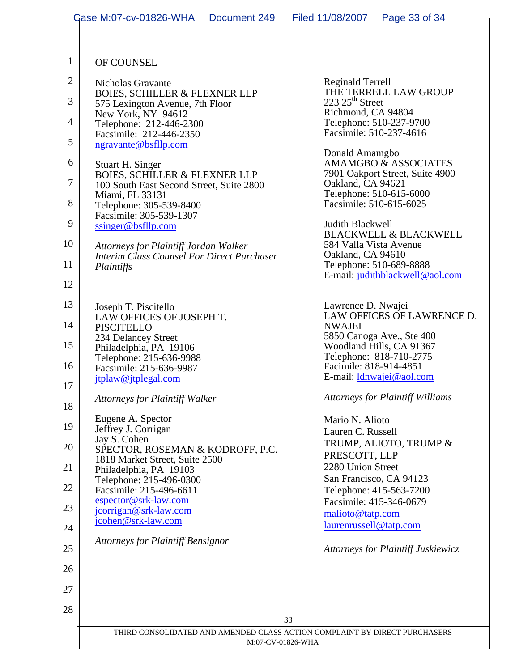|                | Case M:07-cv-01826-WHA                                                               | Document 249 | Filed 11/08/2007                                                             | Page 33 of 34                                       |  |  |
|----------------|--------------------------------------------------------------------------------------|--------------|------------------------------------------------------------------------------|-----------------------------------------------------|--|--|
|                |                                                                                      |              |                                                                              |                                                     |  |  |
| $\mathbf{1}$   | OF COUNSEL                                                                           |              |                                                                              |                                                     |  |  |
| $\overline{2}$ | Nicholas Gravante                                                                    |              | Reginald Terrell                                                             |                                                     |  |  |
| 3              | <b>BOIES, SCHILLER &amp; FLEXNER LLP</b><br>575 Lexington Avenue, 7th Floor          |              | THE TERRELL LAW GROUP<br>$223$ $25^{\text{th}}$ Street<br>Richmond, CA 94804 |                                                     |  |  |
| $\overline{4}$ | New York, NY 94612<br>Telephone: 212-446-2300                                        |              |                                                                              | Telephone: 510-237-9700                             |  |  |
| 5              | Facsimile: 212-446-2350<br>ngravante@bsfllp.com                                      |              |                                                                              | Facsimile: 510-237-4616                             |  |  |
| 6              | Stuart H. Singer                                                                     |              | Donald Amamgbo                                                               | AMAMGBO & ASSOCIATES                                |  |  |
| $\overline{7}$ | <b>BOIES, SCHILLER &amp; FLEXNER LLP</b><br>100 South East Second Street, Suite 2800 |              | Oakland, CA 94621                                                            | 7901 Oakport Street, Suite 4900                     |  |  |
| 8              | Miami, FL 33131<br>Telephone: 305-539-8400                                           |              |                                                                              | Telephone: 510-615-6000<br>Facsimile: 510-615-6025  |  |  |
| 9              | Facsimile: 305-539-1307<br>ssinger@bsflip.com                                        |              | Judith Blackwell                                                             |                                                     |  |  |
| 10             | <b>Attorneys for Plaintiff Jordan Walker</b>                                         |              | 584 Valla Vista Avenue                                                       | <b>BLACKWELL &amp; BLACKWELL</b>                    |  |  |
| 11             | <b>Interim Class Counsel For Direct Purchaser</b>                                    |              | Oakland, CA 94610                                                            | Telephone: 510-689-8888                             |  |  |
| 12             | Plaintiffs                                                                           |              |                                                                              | E-mail: judithblackwell@aol.com                     |  |  |
| 13             |                                                                                      |              |                                                                              |                                                     |  |  |
| 14             | Joseph T. Piscitello<br>LAW OFFICES OF JOSEPH T.                                     |              | Lawrence D. Nwajei                                                           | LAW OFFICES OF LAWRENCE D.                          |  |  |
|                | PISCITELLO<br>234 Delancey Street                                                    |              | <b>NWAJEI</b>                                                                | 5850 Canoga Ave., Ste 400                           |  |  |
| 15             | Philadelphia, PA 19106<br>Telephone: 215-636-9988                                    |              |                                                                              | Woodland Hills, CA 91367<br>Telephone: 818-710-2775 |  |  |
| 16             | Facsimile: 215-636-9987<br>jtplaw@jtplegal.com                                       |              | Facimile: 818-914-4851                                                       | E-mail: <i>dnwajei@aol.com</i>                      |  |  |
| 17             | <b>Attorneys for Plaintiff Walker</b>                                                |              |                                                                              | <b>Attorneys for Plaintiff Williams</b>             |  |  |
| 18             | Eugene A. Spector                                                                    |              | Mario N. Alioto                                                              |                                                     |  |  |
| 19             | Jeffrey J. Corrigan<br>Jay S. Cohen                                                  |              | Lauren C. Russell                                                            | TRUMP, ALIOTO, TRUMP &                              |  |  |
| 20             | SPECTOR, ROSEMAN & KODROFF, P.C.<br>1818 Market Street, Suite 2500                   |              | PRESCOTT, LLP                                                                |                                                     |  |  |
| 21             | Philadelphia, PA 19103<br>Telephone: 215-496-0300                                    |              | 2280 Union Street                                                            | San Francisco, CA 94123                             |  |  |
| 22             | Facsimile: 215-496-6611<br>espector@srk-law.com                                      |              |                                                                              | Telephone: 415-563-7200<br>Facsimile: 415-346-0679  |  |  |
| 23             | jcorrigan@srk-law.com<br>jcohen@srk-law.com                                          |              | malioto@tatp.com                                                             |                                                     |  |  |
| 24             | <b>Attorneys for Plaintiff Bensignor</b>                                             |              | laurenrussell@tatp.com                                                       |                                                     |  |  |
| 25             |                                                                                      |              |                                                                              | <b>Attorneys for Plaintiff Juskiewicz</b>           |  |  |
| 26             |                                                                                      |              |                                                                              |                                                     |  |  |
| 27             |                                                                                      |              |                                                                              |                                                     |  |  |
| 28             |                                                                                      |              | 33                                                                           |                                                     |  |  |
|                |                                                                                      |              | THIRD CONSOLIDATED AND AMENDED CLASS ACTION COMPLAINT BY DIRECT PURCHASERS   |                                                     |  |  |
|                | M:07-CV-01826-WHA                                                                    |              |                                                                              |                                                     |  |  |